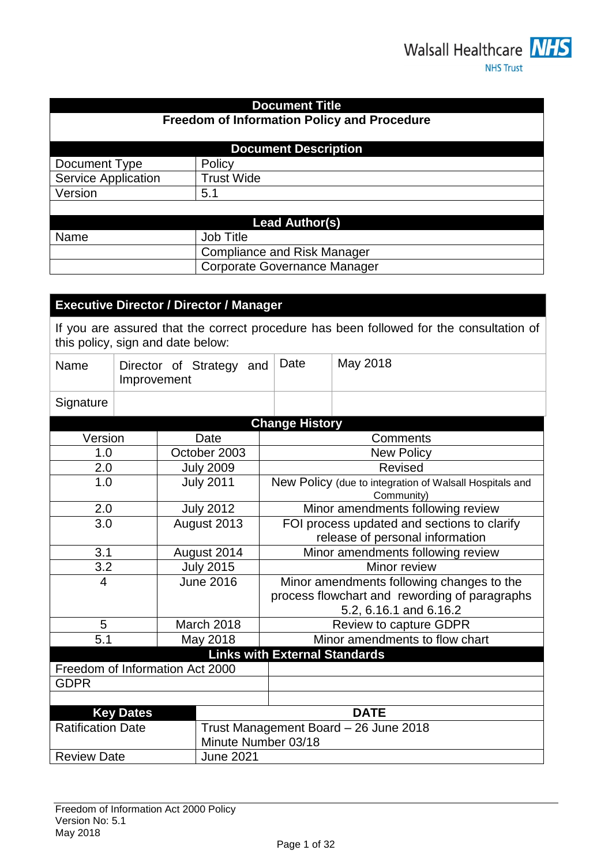## **Document Title**

# **Freedom of Information Policy and Procedure**

|                            | <b>Document Description</b> |  |  |  |
|----------------------------|-----------------------------|--|--|--|
| Document Type              | Policy                      |  |  |  |
| <b>Service Application</b> | <b>Trust Wide</b>           |  |  |  |
| Version                    | 5.1                         |  |  |  |
|                            |                             |  |  |  |
| <b>Lead Author(s)</b>      |                             |  |  |  |
| Name                       | <b>Job Title</b>            |  |  |  |

| Name | Job Title                    |
|------|------------------------------|
|      | Compliance and Risk Manager  |
|      | Corporate Governance Manager |
|      |                              |

## **Executive Director / Director / Manager**

If you are assured that the correct procedure has been followed for the consultation of this policy, sign and date below:

| Name                            | Director of Strategy and<br>Improvement                                                  |  | Date                                 | May 2018                                                                                                             |                                                                       |  |
|---------------------------------|------------------------------------------------------------------------------------------|--|--------------------------------------|----------------------------------------------------------------------------------------------------------------------|-----------------------------------------------------------------------|--|
| Signature                       |                                                                                          |  |                                      |                                                                                                                      |                                                                       |  |
|                                 |                                                                                          |  |                                      | <b>Change History</b>                                                                                                |                                                                       |  |
| Version                         |                                                                                          |  | Date                                 | Comments                                                                                                             |                                                                       |  |
| 1.0                             |                                                                                          |  | October 2003                         |                                                                                                                      | <b>New Policy</b>                                                     |  |
| 2.0                             |                                                                                          |  | <b>July 2009</b>                     |                                                                                                                      | <b>Revised</b>                                                        |  |
| 1.0                             |                                                                                          |  | <b>July 2011</b>                     |                                                                                                                      | New Policy (due to integration of Walsall Hospitals and<br>Community) |  |
| 2.0                             |                                                                                          |  | <b>July 2012</b>                     |                                                                                                                      | Minor amendments following review                                     |  |
| 3.0                             |                                                                                          |  | August 2013                          | FOI process updated and sections to clarify<br>release of personal information                                       |                                                                       |  |
| 3.1                             | August 2014                                                                              |  |                                      |                                                                                                                      | Minor amendments following review                                     |  |
| 3.2                             |                                                                                          |  | <b>July 2015</b>                     | Minor review                                                                                                         |                                                                       |  |
| 4                               |                                                                                          |  | <b>June 2016</b>                     | Minor amendments following changes to the<br>process flowchart and rewording of paragraphs<br>5.2, 6.16.1 and 6.16.2 |                                                                       |  |
| 5                               |                                                                                          |  | March 2018                           |                                                                                                                      | Review to capture GDPR                                                |  |
| 5.1                             |                                                                                          |  | May 2018                             |                                                                                                                      | Minor amendments to flow chart                                        |  |
|                                 |                                                                                          |  | <b>Links with External Standards</b> |                                                                                                                      |                                                                       |  |
| Freedom of Information Act 2000 |                                                                                          |  |                                      |                                                                                                                      |                                                                       |  |
| <b>GDPR</b>                     |                                                                                          |  |                                      |                                                                                                                      |                                                                       |  |
|                                 |                                                                                          |  |                                      |                                                                                                                      |                                                                       |  |
|                                 | <b>Key Dates</b><br><b>DATE</b>                                                          |  |                                      |                                                                                                                      |                                                                       |  |
|                                 | <b>Ratification Date</b><br>Trust Management Board - 26 June 2018<br>Minute Number 03/18 |  |                                      |                                                                                                                      |                                                                       |  |
| <b>Review Date</b>              |                                                                                          |  | <b>June 2021</b>                     |                                                                                                                      |                                                                       |  |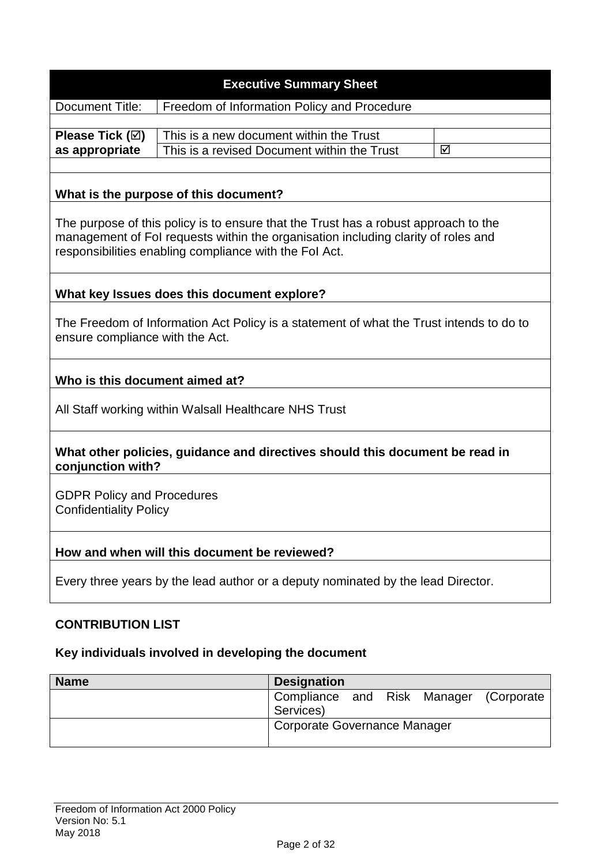| <b>Executive Summary Sheet</b>                                                   |                                                                                                                                                                                                                                    |                         |     |             |         |             |  |
|----------------------------------------------------------------------------------|------------------------------------------------------------------------------------------------------------------------------------------------------------------------------------------------------------------------------------|-------------------------|-----|-------------|---------|-------------|--|
| Document Title:                                                                  | Freedom of Information Policy and Procedure                                                                                                                                                                                        |                         |     |             |         |             |  |
| Please Tick $(\boxtimes)$<br>as appropriate                                      | This is a new document within the Trust<br>This is a revised Document within the Trust<br>☑                                                                                                                                        |                         |     |             |         |             |  |
|                                                                                  | What is the purpose of this document?                                                                                                                                                                                              |                         |     |             |         |             |  |
|                                                                                  | The purpose of this policy is to ensure that the Trust has a robust approach to the<br>management of Fol requests within the organisation including clarity of roles and<br>responsibilities enabling compliance with the Fol Act. |                         |     |             |         |             |  |
|                                                                                  | What key Issues does this document explore?                                                                                                                                                                                        |                         |     |             |         |             |  |
| ensure compliance with the Act.                                                  | The Freedom of Information Act Policy is a statement of what the Trust intends to do to                                                                                                                                            |                         |     |             |         |             |  |
| Who is this document aimed at?                                                   |                                                                                                                                                                                                                                    |                         |     |             |         |             |  |
|                                                                                  | All Staff working within Walsall Healthcare NHS Trust                                                                                                                                                                              |                         |     |             |         |             |  |
| conjunction with?                                                                | What other policies, guidance and directives should this document be read in                                                                                                                                                       |                         |     |             |         |             |  |
| <b>GDPR Policy and Procedures</b><br><b>Confidentiality Policy</b>               |                                                                                                                                                                                                                                    |                         |     |             |         |             |  |
| How and when will this document be reviewed?                                     |                                                                                                                                                                                                                                    |                         |     |             |         |             |  |
| Every three years by the lead author or a deputy nominated by the lead Director. |                                                                                                                                                                                                                                    |                         |     |             |         |             |  |
| <b>CONTRIBUTION LIST</b>                                                         |                                                                                                                                                                                                                                    |                         |     |             |         |             |  |
| Key individuals involved in developing the document                              |                                                                                                                                                                                                                                    |                         |     |             |         |             |  |
| <b>Name</b>                                                                      |                                                                                                                                                                                                                                    | <b>Designation</b>      |     |             |         |             |  |
|                                                                                  |                                                                                                                                                                                                                                    | Compliance<br>Services) | and | <b>Risk</b> | Manager | (Corporate) |  |

Corporate Governance Manager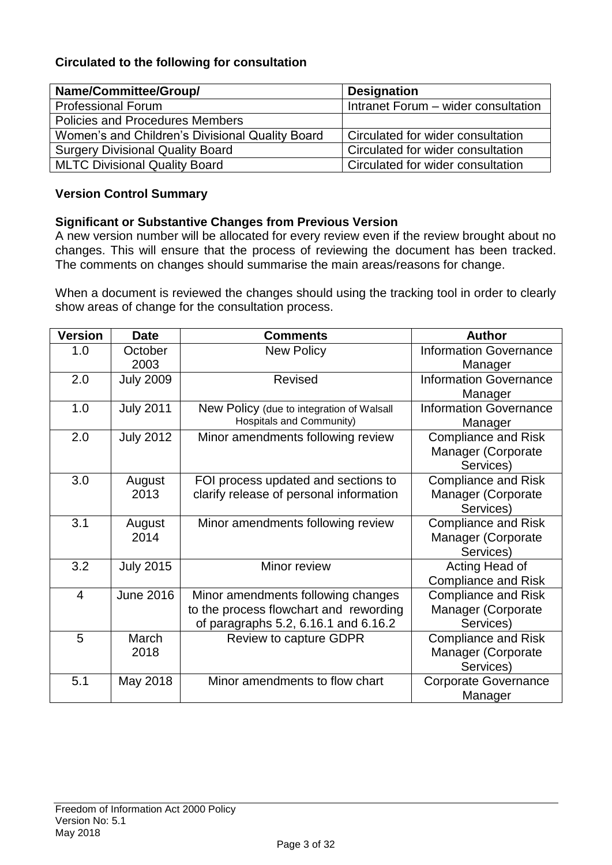## **Circulated to the following for consultation**

| Name/Committee/Group/                           | <b>Designation</b>                  |
|-------------------------------------------------|-------------------------------------|
| <b>Professional Forum</b>                       | Intranet Forum - wider consultation |
| Policies and Procedures Members                 |                                     |
| Women's and Children's Divisional Quality Board | Circulated for wider consultation   |
| <b>Surgery Divisional Quality Board</b>         | Circulated for wider consultation   |
| <b>MLTC Divisional Quality Board</b>            | Circulated for wider consultation   |

## **Version Control Summary**

### **Significant or Substantive Changes from Previous Version**

A new version number will be allocated for every review even if the review brought about no changes. This will ensure that the process of reviewing the document has been tracked. The comments on changes should summarise the main areas/reasons for change.

When a document is reviewed the changes should using the tracking tool in order to clearly show areas of change for the consultation process.

| <b>Version</b> | <b>Date</b>      | <b>Comments</b>                           | <b>Author</b>                 |
|----------------|------------------|-------------------------------------------|-------------------------------|
| 1.0            | October          | <b>New Policy</b>                         | <b>Information Governance</b> |
|                | 2003             |                                           | Manager                       |
| 2.0            | <b>July 2009</b> | Revised                                   | <b>Information Governance</b> |
|                |                  |                                           | Manager                       |
| 1.0            | <b>July 2011</b> | New Policy (due to integration of Walsall | <b>Information Governance</b> |
|                |                  | <b>Hospitals and Community)</b>           | Manager                       |
| 2.0            | <b>July 2012</b> | Minor amendments following review         | <b>Compliance and Risk</b>    |
|                |                  |                                           | Manager (Corporate            |
|                |                  |                                           | Services)                     |
| 3.0            | August           | FOI process updated and sections to       | <b>Compliance and Risk</b>    |
|                | 2013             | clarify release of personal information   | Manager (Corporate            |
|                |                  |                                           | Services)                     |
| 3.1            | August           | Minor amendments following review         | <b>Compliance and Risk</b>    |
|                | 2014             |                                           | Manager (Corporate            |
|                |                  |                                           | Services)                     |
| 3.2            | <b>July 2015</b> | Minor review                              | Acting Head of                |
|                |                  |                                           | <b>Compliance and Risk</b>    |
| $\overline{4}$ | <b>June 2016</b> | Minor amendments following changes        | <b>Compliance and Risk</b>    |
|                |                  | to the process flowchart and rewording    | Manager (Corporate            |
|                |                  | of paragraphs 5.2, 6.16.1 and 6.16.2      | Services)                     |
| 5              | March            | Review to capture GDPR                    | <b>Compliance and Risk</b>    |
|                | 2018             |                                           | Manager (Corporate            |
|                |                  |                                           | Services)                     |
| 5.1            | May 2018         | Minor amendments to flow chart            | <b>Corporate Governance</b>   |
|                |                  |                                           | Manager                       |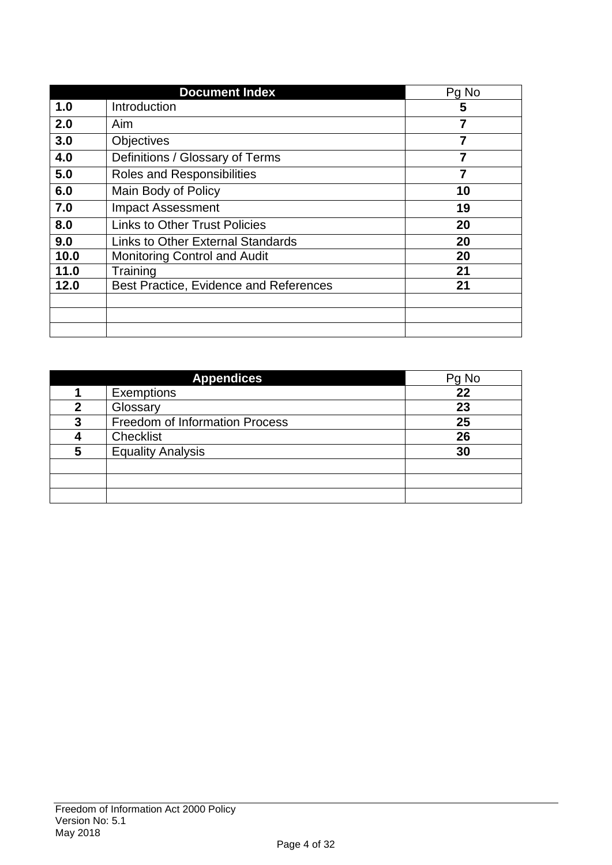|      | <b>Document Index</b>                    | Pg No          |
|------|------------------------------------------|----------------|
| 1.0  | Introduction                             | 5              |
| 2.0  | Aim                                      | $\overline{7}$ |
| 3.0  | <b>Objectives</b>                        | $\overline{7}$ |
| 4.0  | Definitions / Glossary of Terms          | $\overline{7}$ |
| 5.0  | <b>Roles and Responsibilities</b>        | 7              |
| 6.0  | Main Body of Policy                      | 10             |
| 7.0  | <b>Impact Assessment</b>                 | 19             |
| 8.0  | <b>Links to Other Trust Policies</b>     | 20             |
| 9.0  | <b>Links to Other External Standards</b> | 20             |
| 10.0 | <b>Monitoring Control and Audit</b>      | 20             |
| 11.0 | Training                                 | 21             |
| 12.0 | Best Practice, Evidence and References   | 21             |
|      |                                          |                |
|      |                                          |                |
|      |                                          |                |

|   | <b>Appendices</b>                     | Pg No |
|---|---------------------------------------|-------|
|   | <b>Exemptions</b>                     | 22    |
| 2 | Glossary                              | 23    |
| 3 | <b>Freedom of Information Process</b> | 25    |
|   | Checklist                             | 26    |
| 5 | <b>Equality Analysis</b>              | 30    |
|   |                                       |       |
|   |                                       |       |
|   |                                       |       |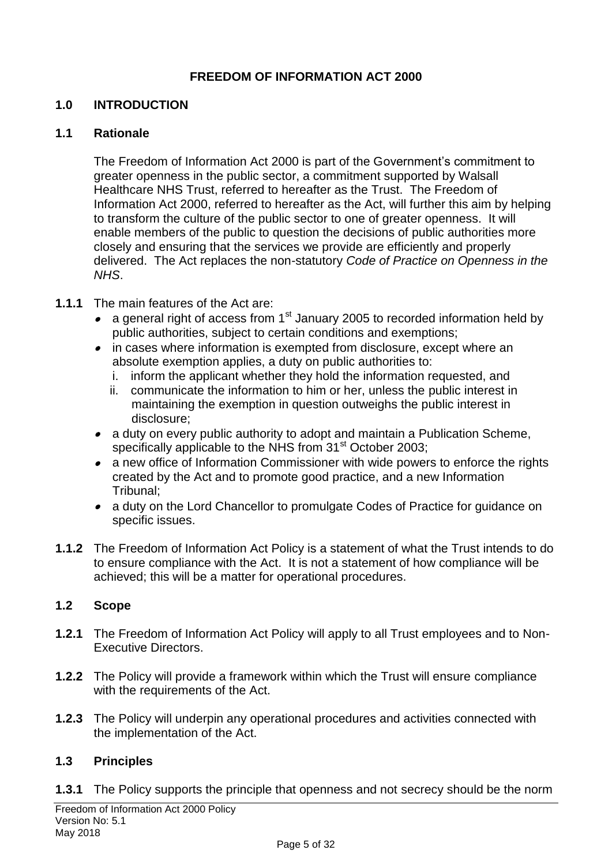## **FREEDOM OF INFORMATION ACT 2000**

## **1.0 INTRODUCTION**

### **1.1 Rationale**

The Freedom of Information Act 2000 is part of the Government's commitment to greater openness in the public sector, a commitment supported by Walsall Healthcare NHS Trust, referred to hereafter as the Trust. The Freedom of Information Act 2000, referred to hereafter as the Act, will further this aim by helping to transform the culture of the public sector to one of greater openness. It will enable members of the public to question the decisions of public authorities more closely and ensuring that the services we provide are efficiently and properly delivered. The Act replaces the non-statutory *Code of Practice on Openness in the NHS*.

- **1.1.1** The main features of the Act are:
	- a general right of access from 1<sup>st</sup> January 2005 to recorded information held by public authorities, subject to certain conditions and exemptions;
	- in cases where information is exempted from disclosure, except where an absolute exemption applies, a duty on public authorities to:
		- i. inform the applicant whether they hold the information requested, and
		- ii. communicate the information to him or her, unless the public interest in maintaining the exemption in question outweighs the public interest in disclosure;
	- a duty on every public authority to adopt and maintain a Publication Scheme, specifically applicable to the NHS from 31<sup>st</sup> October 2003;
	- a new office of Information Commissioner with wide powers to enforce the rights created by the Act and to promote good practice, and a new Information Tribunal;
	- a duty on the Lord Chancellor to promulgate Codes of Practice for guidance on specific issues.
- **1.1.2** The Freedom of Information Act Policy is a statement of what the Trust intends to do to ensure compliance with the Act. It is not a statement of how compliance will be achieved; this will be a matter for operational procedures.

## **1.2 Scope**

- **1.2.1** The Freedom of Information Act Policy will apply to all Trust employees and to Non-Executive Directors.
- **1.2.2** The Policy will provide a framework within which the Trust will ensure compliance with the requirements of the Act.
- **1.2.3** The Policy will underpin any operational procedures and activities connected with the implementation of the Act.

## **1.3 Principles**

**1.3.1** The Policy supports the principle that openness and not secrecy should be the norm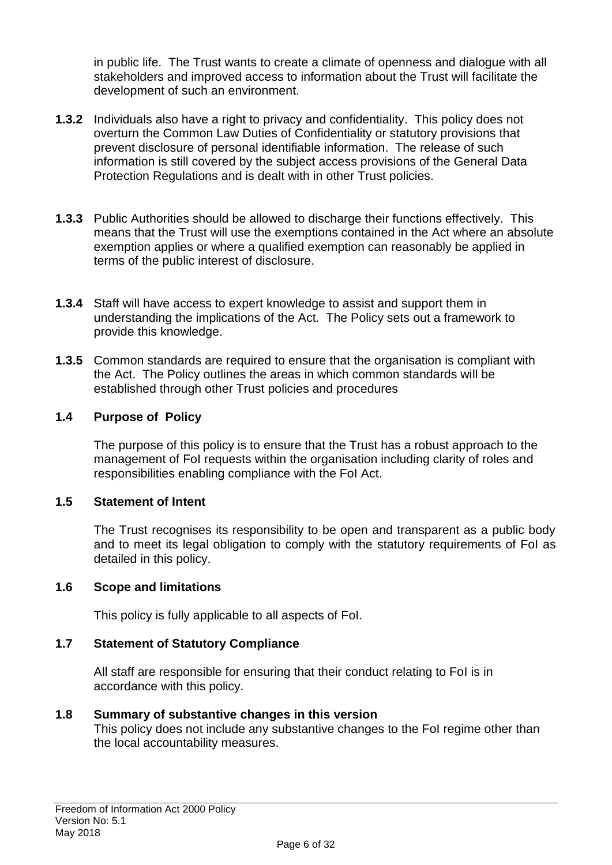in public life. The Trust wants to create a climate of openness and dialogue with all stakeholders and improved access to information about the Trust will facilitate the development of such an environment.

- **1.3.2** Individuals also have a right to privacy and confidentiality. This policy does not overturn the Common Law Duties of Confidentiality or statutory provisions that prevent disclosure of personal identifiable information. The release of such information is still covered by the subject access provisions of the General Data Protection Regulations and is dealt with in other Trust policies.
- **1.3.3** Public Authorities should be allowed to discharge their functions effectively. This means that the Trust will use the exemptions contained in the Act where an absolute exemption applies or where a qualified exemption can reasonably be applied in terms of the public interest of disclosure.
- **1.3.4** Staff will have access to expert knowledge to assist and support them in understanding the implications of the Act. The Policy sets out a framework to provide this knowledge.
- **1.3.5** Common standards are required to ensure that the organisation is compliant with the Act. The Policy outlines the areas in which common standards will be established through other Trust policies and procedures

## **1.4 Purpose of Policy**

The purpose of this policy is to ensure that the Trust has a robust approach to the management of FoI requests within the organisation including clarity of roles and responsibilities enabling compliance with the FoI Act.

## **1.5 Statement of Intent**

The Trust recognises its responsibility to be open and transparent as a public body and to meet its legal obligation to comply with the statutory requirements of FoI as detailed in this policy.

## **1.6 Scope and limitations**

This policy is fully applicable to all aspects of FoI.

# **1.7 Statement of Statutory Compliance**

All staff are responsible for ensuring that their conduct relating to FoI is in accordance with this policy.

## **1.8 Summary of substantive changes in this version**

This policy does not include any substantive changes to the FoI regime other than the local accountability measures.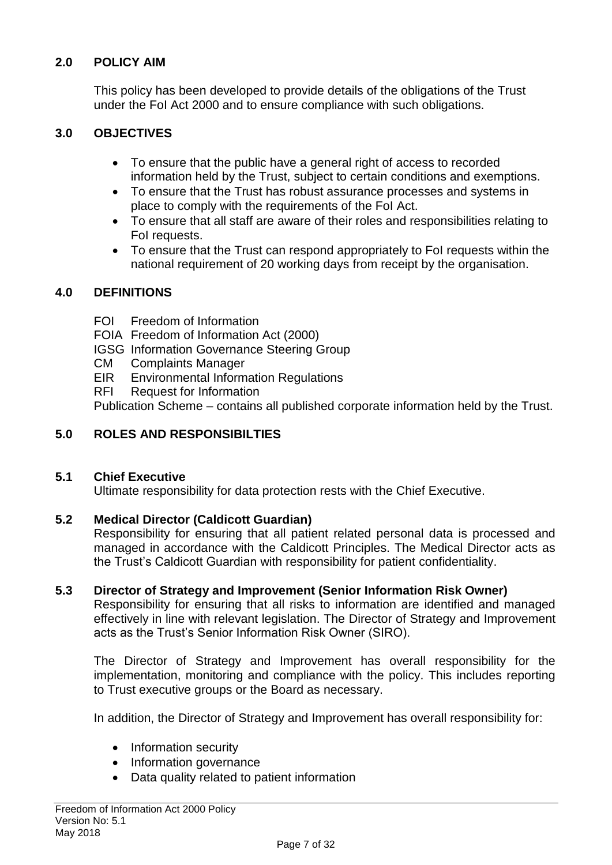## **2.0 POLICY AIM**

This policy has been developed to provide details of the obligations of the Trust under the FoI Act 2000 and to ensure compliance with such obligations.

## **3.0 OBJECTIVES**

- To ensure that the public have a general right of access to recorded information held by the Trust, subject to certain conditions and exemptions.
- To ensure that the Trust has robust assurance processes and systems in place to comply with the requirements of the FoI Act.
- To ensure that all staff are aware of their roles and responsibilities relating to FoI requests.
- To ensure that the Trust can respond appropriately to FoI requests within the national requirement of 20 working days from receipt by the organisation.

### **4.0 DEFINITIONS**

- FOI Freedom of Information
- FOIA Freedom of Information Act (2000)
- IGSG Information Governance Steering Group
- CM Complaints Manager
- EIR Environmental Information Regulations
- RFI Request for Information

Publication Scheme – contains all published corporate information held by the Trust.

## **5.0 ROLES AND RESPONSIBILTIES**

#### **5.1 Chief Executive**

Ultimate responsibility for data protection rests with the Chief Executive.

#### **5.2 Medical Director (Caldicott Guardian)**

Responsibility for ensuring that all patient related personal data is processed and managed in accordance with the Caldicott Principles. The Medical Director acts as the Trust's Caldicott Guardian with responsibility for patient confidentiality.

#### **5.3 Director of Strategy and Improvement (Senior Information Risk Owner)**

Responsibility for ensuring that all risks to information are identified and managed effectively in line with relevant legislation. The Director of Strategy and Improvement acts as the Trust's Senior Information Risk Owner (SIRO).

The Director of Strategy and Improvement has overall responsibility for the implementation, monitoring and compliance with the policy. This includes reporting to Trust executive groups or the Board as necessary.

In addition, the Director of Strategy and Improvement has overall responsibility for:

- Information security
- Information governance
- Data quality related to patient information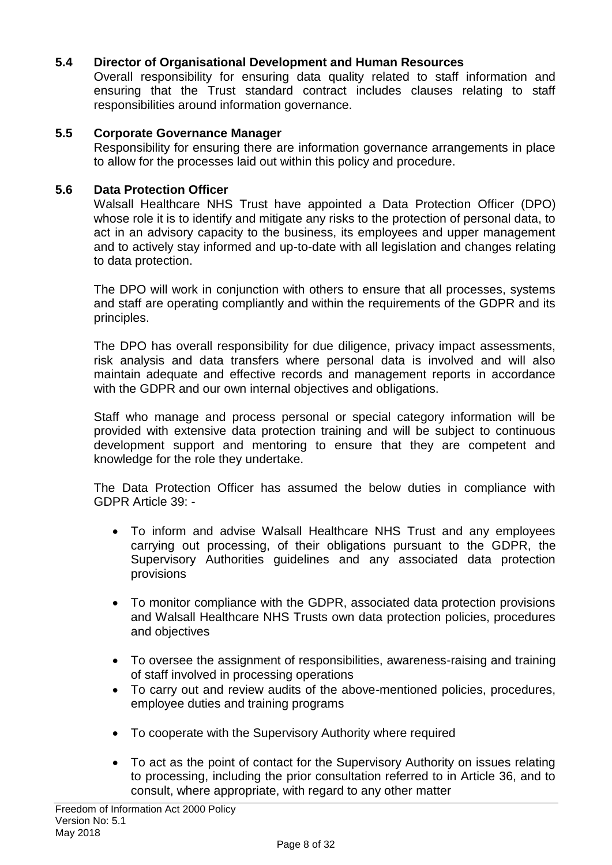#### **5.4 Director of Organisational Development and Human Resources**

Overall responsibility for ensuring data quality related to staff information and ensuring that the Trust standard contract includes clauses relating to staff responsibilities around information governance.

#### **5.5 Corporate Governance Manager**

Responsibility for ensuring there are information governance arrangements in place to allow for the processes laid out within this policy and procedure.

#### **5.6 Data Protection Officer**

Walsall Healthcare NHS Trust have appointed a Data Protection Officer (DPO) whose role it is to identify and mitigate any risks to the protection of personal data, to act in an advisory capacity to the business, its employees and upper management and to actively stay informed and up-to-date with all legislation and changes relating to data protection.

The DPO will work in conjunction with others to ensure that all processes, systems and staff are operating compliantly and within the requirements of the GDPR and its principles.

The DPO has overall responsibility for due diligence, privacy impact assessments, risk analysis and data transfers where personal data is involved and will also maintain adequate and effective records and management reports in accordance with the GDPR and our own internal objectives and obligations.

Staff who manage and process personal or special category information will be provided with extensive data protection training and will be subject to continuous development support and mentoring to ensure that they are competent and knowledge for the role they undertake.

The Data Protection Officer has assumed the below duties in compliance with GDPR Article 39: -

- To inform and advise Walsall Healthcare NHS Trust and any employees carrying out processing, of their obligations pursuant to the GDPR, the Supervisory Authorities guidelines and any associated data protection provisions
- To monitor compliance with the GDPR, associated data protection provisions and Walsall Healthcare NHS Trusts own data protection policies, procedures and objectives
- To oversee the assignment of responsibilities, awareness-raising and training of staff involved in processing operations
- To carry out and review audits of the above-mentioned policies, procedures, employee duties and training programs
- To cooperate with the Supervisory Authority where required
- To act as the point of contact for the Supervisory Authority on issues relating to processing, including the prior consultation referred to in Article 36, and to consult, where appropriate, with regard to any other matter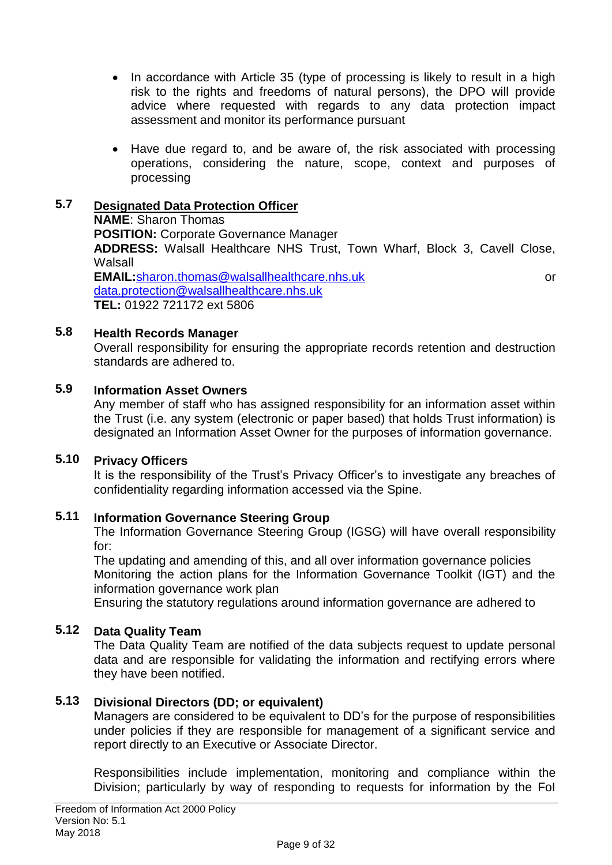- In accordance with Article 35 (type of processing is likely to result in a high risk to the rights and freedoms of natural persons), the DPO will provide advice where requested with regards to any data protection impact assessment and monitor its performance pursuant
- Have due regard to, and be aware of, the risk associated with processing operations, considering the nature, scope, context and purposes of processing

#### **5.7 Designated Data Protection Officer**

**NAME**: Sharon Thomas **POSITION:** Corporate Governance Manager **ADDRESS:** Walsall Healthcare NHS Trust, Town Wharf, Block 3, Cavell Close, Walsall **EMAIL:**[sharon.thomas@walsallhealthcare.nhs.uk](mailto:sharon.thomas@walsallhealthcare.nhs.uk) or [data.protection@walsallhealthcare.nhs.uk](mailto:data.protection@walsallhealthcare.nhs.uk) **TEL:** 01922 721172 ext 5806

#### **5.8 Health Records Manager**

Overall responsibility for ensuring the appropriate records retention and destruction standards are adhered to.

#### **5.9 Information Asset Owners**

Any member of staff who has assigned responsibility for an information asset within the Trust (i.e. any system (electronic or paper based) that holds Trust information) is designated an Information Asset Owner for the purposes of information governance.

#### **5.10 Privacy Officers**

It is the responsibility of the Trust's Privacy Officer's to investigate any breaches of confidentiality regarding information accessed via the Spine.

#### **5.11 Information Governance Steering Group**

The Information Governance Steering Group (IGSG) will have overall responsibility for:

The updating and amending of this, and all over information governance policies Monitoring the action plans for the Information Governance Toolkit (IGT) and the information governance work plan

Ensuring the statutory regulations around information governance are adhered to

### **5.12 Data Quality Team**

The Data Quality Team are notified of the data subjects request to update personal data and are responsible for validating the information and rectifying errors where they have been notified.

#### **5.13 Divisional Directors (DD; or equivalent)**

Managers are considered to be equivalent to DD's for the purpose of responsibilities under policies if they are responsible for management of a significant service and report directly to an Executive or Associate Director.

Responsibilities include implementation, monitoring and compliance within the Division; particularly by way of responding to requests for information by the FoI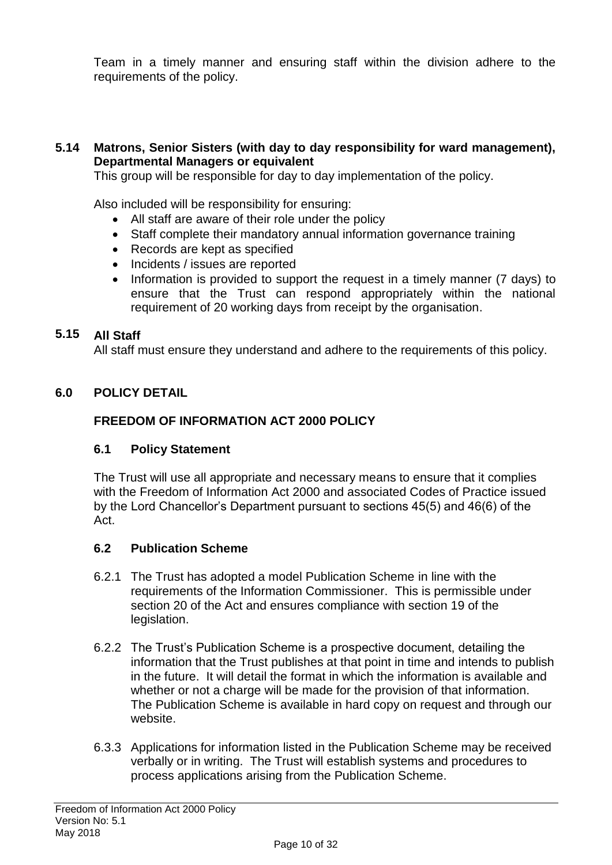Team in a timely manner and ensuring staff within the division adhere to the requirements of the policy.

#### **5.14 Matrons, Senior Sisters (with day to day responsibility for ward management), Departmental Managers or equivalent**

This group will be responsible for day to day implementation of the policy.

Also included will be responsibility for ensuring:

- All staff are aware of their role under the policy
- Staff complete their mandatory annual information governance training
- Records are kept as specified
- Incidents / issues are reported
- Information is provided to support the request in a timely manner (7 days) to ensure that the Trust can respond appropriately within the national requirement of 20 working days from receipt by the organisation.

### **5.15 All Staff**

All staff must ensure they understand and adhere to the requirements of this policy.

### **6.0 POLICY DETAIL**

### **FREEDOM OF INFORMATION ACT 2000 POLICY**

### **6.1 Policy Statement**

The Trust will use all appropriate and necessary means to ensure that it complies with the Freedom of Information Act 2000 and associated Codes of Practice issued by the Lord Chancellor's Department pursuant to sections 45(5) and 46(6) of the Act.

### **6.2 Publication Scheme**

- 6.2.1 The Trust has adopted a model Publication Scheme in line with the requirements of the Information Commissioner. This is permissible under section 20 of the Act and ensures compliance with section 19 of the legislation.
- 6.2.2 The Trust's Publication Scheme is a prospective document, detailing the information that the Trust publishes at that point in time and intends to publish in the future. It will detail the format in which the information is available and whether or not a charge will be made for the provision of that information. The Publication Scheme is available in hard copy on request and through our website.
- 6.3.3 Applications for information listed in the Publication Scheme may be received verbally or in writing. The Trust will establish systems and procedures to process applications arising from the Publication Scheme.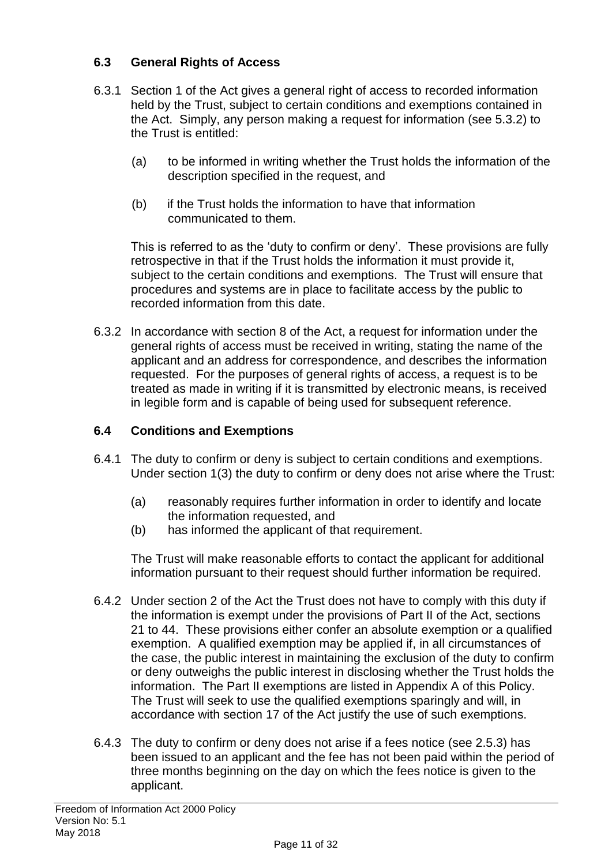## **6.3 General Rights of Access**

- 6.3.1 Section 1 of the Act gives a general right of access to recorded information held by the Trust, subject to certain conditions and exemptions contained in the Act. Simply, any person making a request for information (see 5.3.2) to the Trust is entitled:
	- (a) to be informed in writing whether the Trust holds the information of the description specified in the request, and
	- (b) if the Trust holds the information to have that information communicated to them.

This is referred to as the 'duty to confirm or deny'. These provisions are fully retrospective in that if the Trust holds the information it must provide it, subject to the certain conditions and exemptions. The Trust will ensure that procedures and systems are in place to facilitate access by the public to recorded information from this date.

6.3.2 In accordance with section 8 of the Act, a request for information under the general rights of access must be received in writing, stating the name of the applicant and an address for correspondence, and describes the information requested. For the purposes of general rights of access, a request is to be treated as made in writing if it is transmitted by electronic means, is received in legible form and is capable of being used for subsequent reference.

## **6.4 Conditions and Exemptions**

- 6.4.1 The duty to confirm or deny is subject to certain conditions and exemptions. Under section 1(3) the duty to confirm or deny does not arise where the Trust:
	- (a) reasonably requires further information in order to identify and locate the information requested, and
	- (b) has informed the applicant of that requirement.

The Trust will make reasonable efforts to contact the applicant for additional information pursuant to their request should further information be required.

- 6.4.2 Under section 2 of the Act the Trust does not have to comply with this duty if the information is exempt under the provisions of Part II of the Act, sections 21 to 44. These provisions either confer an absolute exemption or a qualified exemption. A qualified exemption may be applied if, in all circumstances of the case, the public interest in maintaining the exclusion of the duty to confirm or deny outweighs the public interest in disclosing whether the Trust holds the information. The Part II exemptions are listed in Appendix A of this Policy. The Trust will seek to use the qualified exemptions sparingly and will, in accordance with section 17 of the Act justify the use of such exemptions.
- 6.4.3 The duty to confirm or deny does not arise if a fees notice (see 2.5.3) has been issued to an applicant and the fee has not been paid within the period of three months beginning on the day on which the fees notice is given to the applicant.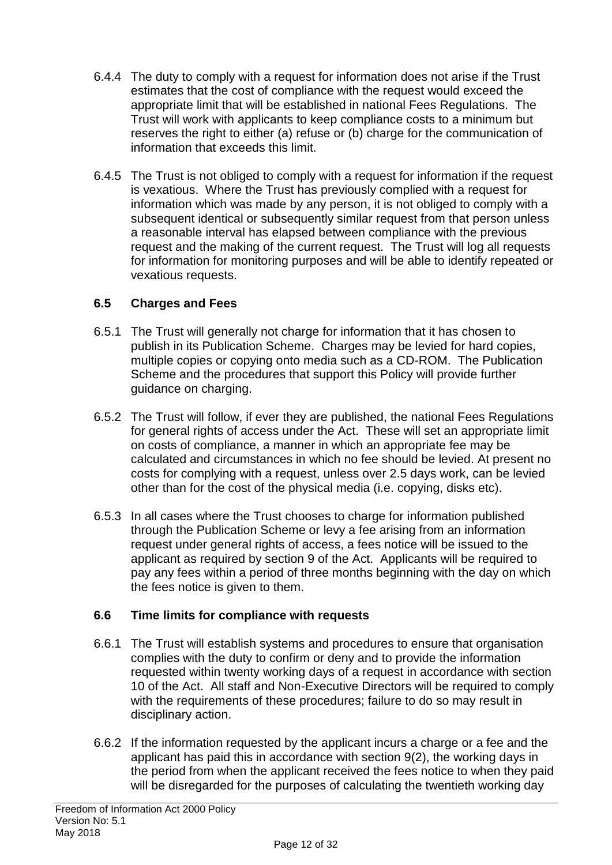- 6.4.4 The duty to comply with a request for information does not arise if the Trust estimates that the cost of compliance with the request would exceed the appropriate limit that will be established in national Fees Regulations. The Trust will work with applicants to keep compliance costs to a minimum but reserves the right to either (a) refuse or (b) charge for the communication of information that exceeds this limit.
- 6.4.5 The Trust is not obliged to comply with a request for information if the request is vexatious. Where the Trust has previously complied with a request for information which was made by any person, it is not obliged to comply with a subsequent identical or subsequently similar request from that person unless a reasonable interval has elapsed between compliance with the previous request and the making of the current request. The Trust will log all requests for information for monitoring purposes and will be able to identify repeated or vexatious requests.

## **6.5 Charges and Fees**

- 6.5.1 The Trust will generally not charge for information that it has chosen to publish in its Publication Scheme. Charges may be levied for hard copies, multiple copies or copying onto media such as a CD-ROM. The Publication Scheme and the procedures that support this Policy will provide further guidance on charging.
- 6.5.2 The Trust will follow, if ever they are published, the national Fees Regulations for general rights of access under the Act. These will set an appropriate limit on costs of compliance, a manner in which an appropriate fee may be calculated and circumstances in which no fee should be levied. At present no costs for complying with a request, unless over 2.5 days work, can be levied other than for the cost of the physical media (i.e. copying, disks etc).
- 6.5.3 In all cases where the Trust chooses to charge for information published through the Publication Scheme or levy a fee arising from an information request under general rights of access, a fees notice will be issued to the applicant as required by section 9 of the Act. Applicants will be required to pay any fees within a period of three months beginning with the day on which the fees notice is given to them.

## **6.6 Time limits for compliance with requests**

- 6.6.1 The Trust will establish systems and procedures to ensure that organisation complies with the duty to confirm or deny and to provide the information requested within twenty working days of a request in accordance with section 10 of the Act. All staff and Non-Executive Directors will be required to comply with the requirements of these procedures; failure to do so may result in disciplinary action.
- 6.6.2 If the information requested by the applicant incurs a charge or a fee and the applicant has paid this in accordance with section 9(2), the working days in the period from when the applicant received the fees notice to when they paid will be disregarded for the purposes of calculating the twentieth working day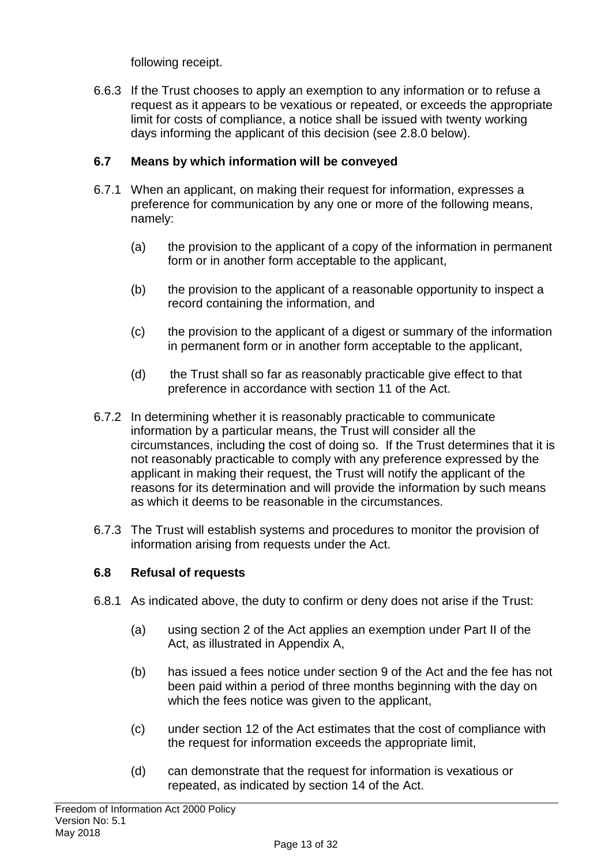following receipt.

6.6.3 If the Trust chooses to apply an exemption to any information or to refuse a request as it appears to be vexatious or repeated, or exceeds the appropriate limit for costs of compliance, a notice shall be issued with twenty working days informing the applicant of this decision (see 2.8.0 below).

## **6.7 Means by which information will be conveyed**

- 6.7.1 When an applicant, on making their request for information, expresses a preference for communication by any one or more of the following means, namely:
	- (a) the provision to the applicant of a copy of the information in permanent form or in another form acceptable to the applicant,
	- (b) the provision to the applicant of a reasonable opportunity to inspect a record containing the information, and
	- (c) the provision to the applicant of a digest or summary of the information in permanent form or in another form acceptable to the applicant,
	- (d)the Trust shall so far as reasonably practicable give effect to that preference in accordance with section 11 of the Act.
- 6.7.2 In determining whether it is reasonably practicable to communicate information by a particular means, the Trust will consider all the circumstances, including the cost of doing so. If the Trust determines that it is not reasonably practicable to comply with any preference expressed by the applicant in making their request, the Trust will notify the applicant of the reasons for its determination and will provide the information by such means as which it deems to be reasonable in the circumstances.
- 6.7.3 The Trust will establish systems and procedures to monitor the provision of information arising from requests under the Act.

### **6.8 Refusal of requests**

- 6.8.1 As indicated above, the duty to confirm or deny does not arise if the Trust:
	- (a) using section 2 of the Act applies an exemption under Part II of the Act, as illustrated in Appendix A,
	- (b) has issued a fees notice under section 9 of the Act and the fee has not been paid within a period of three months beginning with the day on which the fees notice was given to the applicant,
	- (c) under section 12 of the Act estimates that the cost of compliance with the request for information exceeds the appropriate limit,
	- (d) can demonstrate that the request for information is vexatious or repeated, as indicated by section 14 of the Act.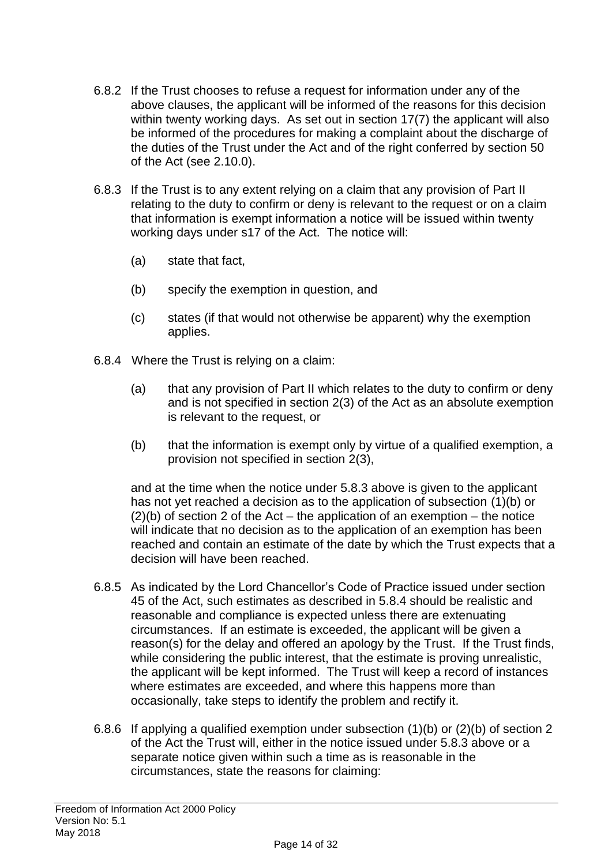- 6.8.2 If the Trust chooses to refuse a request for information under any of the above clauses, the applicant will be informed of the reasons for this decision within twenty working days. As set out in section 17(7) the applicant will also be informed of the procedures for making a complaint about the discharge of the duties of the Trust under the Act and of the right conferred by section 50 of the Act (see 2.10.0).
- 6.8.3 If the Trust is to any extent relying on a claim that any provision of Part II relating to the duty to confirm or deny is relevant to the request or on a claim that information is exempt information a notice will be issued within twenty working days under s17 of the Act. The notice will:
	- (a) state that fact,
	- (b) specify the exemption in question, and
	- (c) states (if that would not otherwise be apparent) why the exemption applies.
- 6.8.4 Where the Trust is relying on a claim:
	- (a) that any provision of Part II which relates to the duty to confirm or deny and is not specified in section 2(3) of the Act as an absolute exemption is relevant to the request, or
	- (b) that the information is exempt only by virtue of a qualified exemption, a provision not specified in section 2(3),

and at the time when the notice under 5.8.3 above is given to the applicant has not yet reached a decision as to the application of subsection (1)(b) or  $(2)(b)$  of section 2 of the Act – the application of an exemption – the notice will indicate that no decision as to the application of an exemption has been reached and contain an estimate of the date by which the Trust expects that a decision will have been reached.

- 6.8.5 As indicated by the Lord Chancellor's Code of Practice issued under section 45 of the Act, such estimates as described in 5.8.4 should be realistic and reasonable and compliance is expected unless there are extenuating circumstances. If an estimate is exceeded, the applicant will be given a reason(s) for the delay and offered an apology by the Trust. If the Trust finds, while considering the public interest, that the estimate is proving unrealistic, the applicant will be kept informed. The Trust will keep a record of instances where estimates are exceeded, and where this happens more than occasionally, take steps to identify the problem and rectify it.
- 6.8.6 If applying a qualified exemption under subsection (1)(b) or (2)(b) of section 2 of the Act the Trust will, either in the notice issued under 5.8.3 above or a separate notice given within such a time as is reasonable in the circumstances, state the reasons for claiming: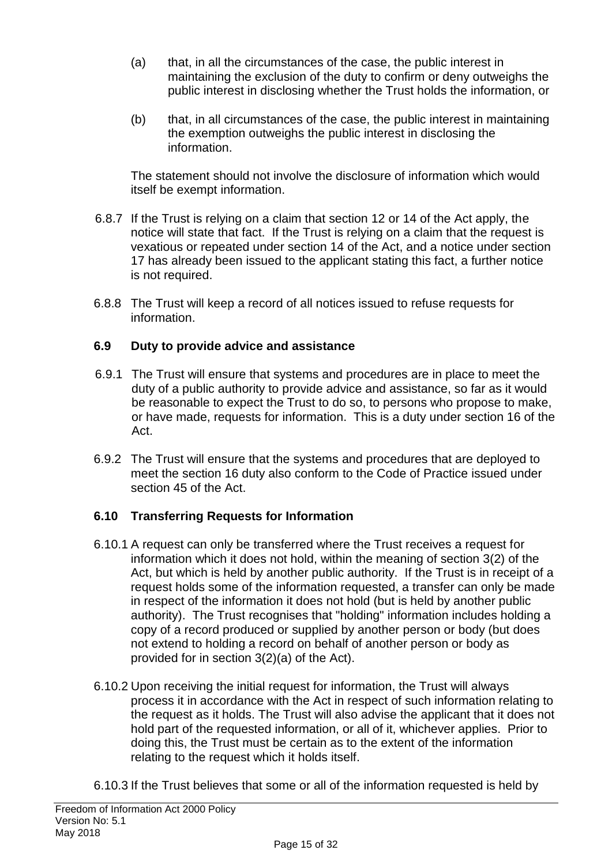- (a) that, in all the circumstances of the case, the public interest in maintaining the exclusion of the duty to confirm or deny outweighs the public interest in disclosing whether the Trust holds the information, or
- (b) that, in all circumstances of the case, the public interest in maintaining the exemption outweighs the public interest in disclosing the information.

The statement should not involve the disclosure of information which would itself be exempt information.

- 6.8.7 If the Trust is relying on a claim that section 12 or 14 of the Act apply, the notice will state that fact. If the Trust is relying on a claim that the request is vexatious or repeated under section 14 of the Act, and a notice under section 17 has already been issued to the applicant stating this fact, a further notice is not required.
- 6.8.8 The Trust will keep a record of all notices issued to refuse requests for information.

## **6.9 Duty to provide advice and assistance**

- 6.9.1 The Trust will ensure that systems and procedures are in place to meet the duty of a public authority to provide advice and assistance, so far as it would be reasonable to expect the Trust to do so, to persons who propose to make, or have made, requests for information. This is a duty under section 16 of the Act.
- 6.9.2 The Trust will ensure that the systems and procedures that are deployed to meet the section 16 duty also conform to the Code of Practice issued under section 45 of the Act.

## **6.10 Transferring Requests for Information**

- 6.10.1 A request can only be transferred where the Trust receives a request for information which it does not hold, within the meaning of section 3(2) of the Act, but which is held by another public authority. If the Trust is in receipt of a request holds some of the information requested, a transfer can only be made in respect of the information it does not hold (but is held by another public authority). The Trust recognises that "holding" information includes holding a copy of a record produced or supplied by another person or body (but does not extend to holding a record on behalf of another person or body as provided for in section 3(2)(a) of the Act).
- 6.10.2 Upon receiving the initial request for information, the Trust will always process it in accordance with the Act in respect of such information relating to the request as it holds. The Trust will also advise the applicant that it does not hold part of the requested information, or all of it, whichever applies. Prior to doing this, the Trust must be certain as to the extent of the information relating to the request which it holds itself.
- 6.10.3 If the Trust believes that some or all of the information requested is held by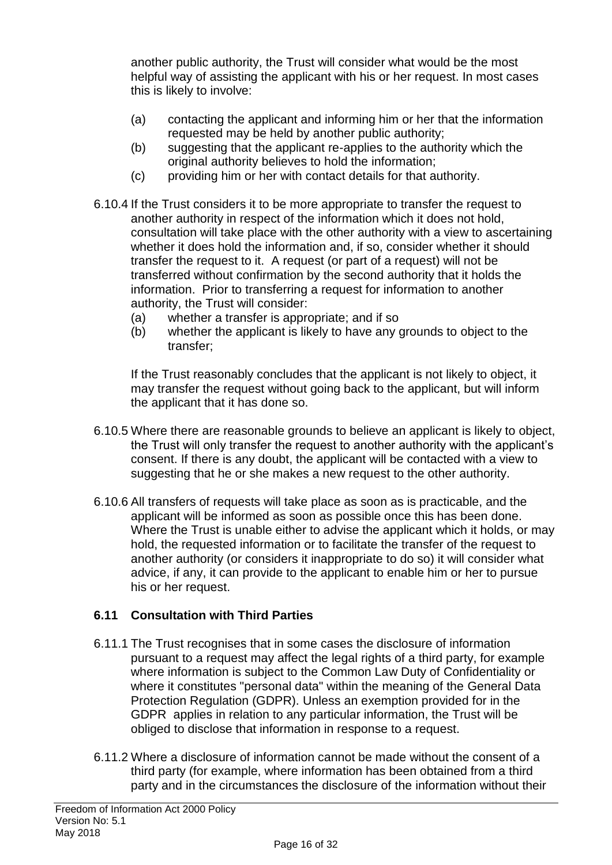another public authority, the Trust will consider what would be the most helpful way of assisting the applicant with his or her request. In most cases this is likely to involve:

- (a) contacting the applicant and informing him or her that the information requested may be held by another public authority;
- (b) suggesting that the applicant re-applies to the authority which the original authority believes to hold the information;
- (c) providing him or her with contact details for that authority.
- 6.10.4 If the Trust considers it to be more appropriate to transfer the request to another authority in respect of the information which it does not hold, consultation will take place with the other authority with a view to ascertaining whether it does hold the information and, if so, consider whether it should transfer the request to it. A request (or part of a request) will not be transferred without confirmation by the second authority that it holds the information. Prior to transferring a request for information to another authority, the Trust will consider:
	- (a) whether a transfer is appropriate; and if so
	- (b) whether the applicant is likely to have any grounds to object to the transfer;

If the Trust reasonably concludes that the applicant is not likely to object, it may transfer the request without going back to the applicant, but will inform the applicant that it has done so.

- 6.10.5 Where there are reasonable grounds to believe an applicant is likely to object, the Trust will only transfer the request to another authority with the applicant's consent. If there is any doubt, the applicant will be contacted with a view to suggesting that he or she makes a new request to the other authority.
- 6.10.6 All transfers of requests will take place as soon as is practicable, and the applicant will be informed as soon as possible once this has been done. Where the Trust is unable either to advise the applicant which it holds, or may hold, the requested information or to facilitate the transfer of the request to another authority (or considers it inappropriate to do so) it will consider what advice, if any, it can provide to the applicant to enable him or her to pursue his or her request.

## **6.11 Consultation with Third Parties**

- 6.11.1 The Trust recognises that in some cases the disclosure of information pursuant to a request may affect the legal rights of a third party, for example where information is subject to the Common Law Duty of Confidentiality or where it constitutes "personal data" within the meaning of the General Data Protection Regulation (GDPR). Unless an exemption provided for in the GDPR applies in relation to any particular information, the Trust will be obliged to disclose that information in response to a request.
- 6.11.2 Where a disclosure of information cannot be made without the consent of a third party (for example, where information has been obtained from a third party and in the circumstances the disclosure of the information without their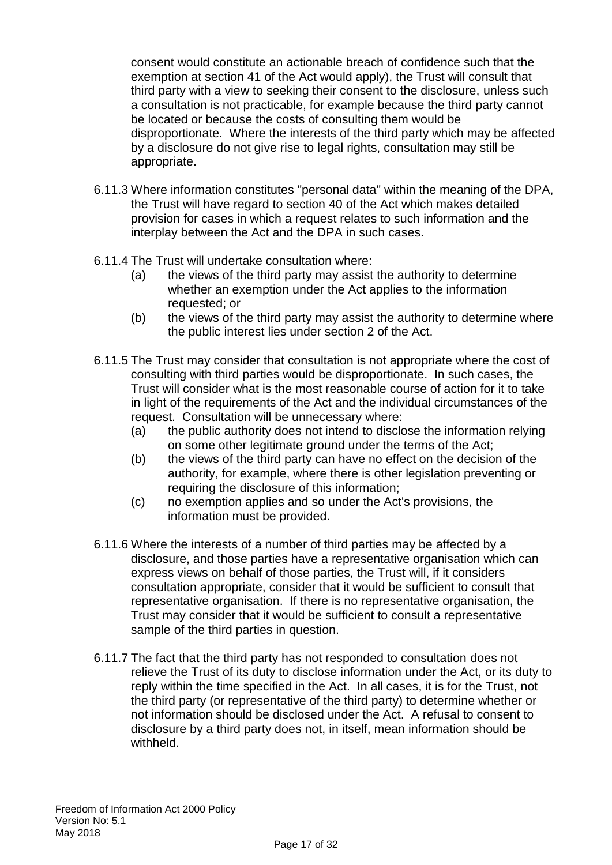consent would constitute an actionable breach of confidence such that the exemption at section 41 of the Act would apply), the Trust will consult that third party with a view to seeking their consent to the disclosure, unless such a consultation is not practicable, for example because the third party cannot be located or because the costs of consulting them would be disproportionate. Where the interests of the third party which may be affected by a disclosure do not give rise to legal rights, consultation may still be appropriate.

- 6.11.3 Where information constitutes "personal data" within the meaning of the DPA, the Trust will have regard to section 40 of the Act which makes detailed provision for cases in which a request relates to such information and the interplay between the Act and the DPA in such cases.
- 6.11.4 The Trust will undertake consultation where:
	- (a) the views of the third party may assist the authority to determine whether an exemption under the Act applies to the information requested; or
	- (b) the views of the third party may assist the authority to determine where the public interest lies under section 2 of the Act.
- 6.11.5 The Trust may consider that consultation is not appropriate where the cost of consulting with third parties would be disproportionate. In such cases, the Trust will consider what is the most reasonable course of action for it to take in light of the requirements of the Act and the individual circumstances of the request. Consultation will be unnecessary where:
	- (a) the public authority does not intend to disclose the information relying on some other legitimate ground under the terms of the Act;
	- (b) the views of the third party can have no effect on the decision of the authority, for example, where there is other legislation preventing or requiring the disclosure of this information;
	- (c) no exemption applies and so under the Act's provisions, the information must be provided.
- 6.11.6 Where the interests of a number of third parties may be affected by a disclosure, and those parties have a representative organisation which can express views on behalf of those parties, the Trust will, if it considers consultation appropriate, consider that it would be sufficient to consult that representative organisation. If there is no representative organisation, the Trust may consider that it would be sufficient to consult a representative sample of the third parties in question.
- 6.11.7 The fact that the third party has not responded to consultation does not relieve the Trust of its duty to disclose information under the Act, or its duty to reply within the time specified in the Act. In all cases, it is for the Trust, not the third party (or representative of the third party) to determine whether or not information should be disclosed under the Act. A refusal to consent to disclosure by a third party does not, in itself, mean information should be withheld.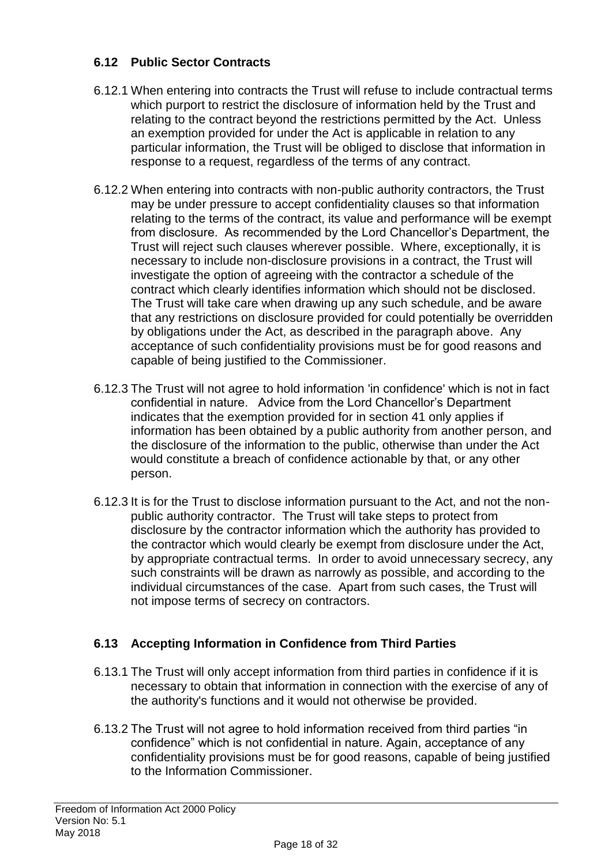## **6.12 Public Sector Contracts**

- 6.12.1 When entering into contracts the Trust will refuse to include contractual terms which purport to restrict the disclosure of information held by the Trust and relating to the contract beyond the restrictions permitted by the Act. Unless an exemption provided for under the Act is applicable in relation to any particular information, the Trust will be obliged to disclose that information in response to a request, regardless of the terms of any contract.
- 6.12.2 When entering into contracts with non-public authority contractors, the Trust may be under pressure to accept confidentiality clauses so that information relating to the terms of the contract, its value and performance will be exempt from disclosure. As recommended by the Lord Chancellor's Department, the Trust will reject such clauses wherever possible. Where, exceptionally, it is necessary to include non-disclosure provisions in a contract, the Trust will investigate the option of agreeing with the contractor a schedule of the contract which clearly identifies information which should not be disclosed. The Trust will take care when drawing up any such schedule, and be aware that any restrictions on disclosure provided for could potentially be overridden by obligations under the Act, as described in the paragraph above. Any acceptance of such confidentiality provisions must be for good reasons and capable of being justified to the Commissioner.
- 6.12.3 The Trust will not agree to hold information 'in confidence' which is not in fact confidential in nature. Advice from the Lord Chancellor's Department indicates that the exemption provided for in section 41 only applies if information has been obtained by a public authority from another person, and the disclosure of the information to the public, otherwise than under the Act would constitute a breach of confidence actionable by that, or any other person.
- 6.12.3 It is for the Trust to disclose information pursuant to the Act, and not the nonpublic authority contractor. The Trust will take steps to protect from disclosure by the contractor information which the authority has provided to the contractor which would clearly be exempt from disclosure under the Act, by appropriate contractual terms. In order to avoid unnecessary secrecy, any such constraints will be drawn as narrowly as possible, and according to the individual circumstances of the case. Apart from such cases, the Trust will not impose terms of secrecy on contractors.

## **6.13 Accepting Information in Confidence from Third Parties**

- 6.13.1 The Trust will only accept information from third parties in confidence if it is necessary to obtain that information in connection with the exercise of any of the authority's functions and it would not otherwise be provided.
- 6.13.2 The Trust will not agree to hold information received from third parties "in confidence" which is not confidential in nature. Again, acceptance of any confidentiality provisions must be for good reasons, capable of being justified to the Information Commissioner.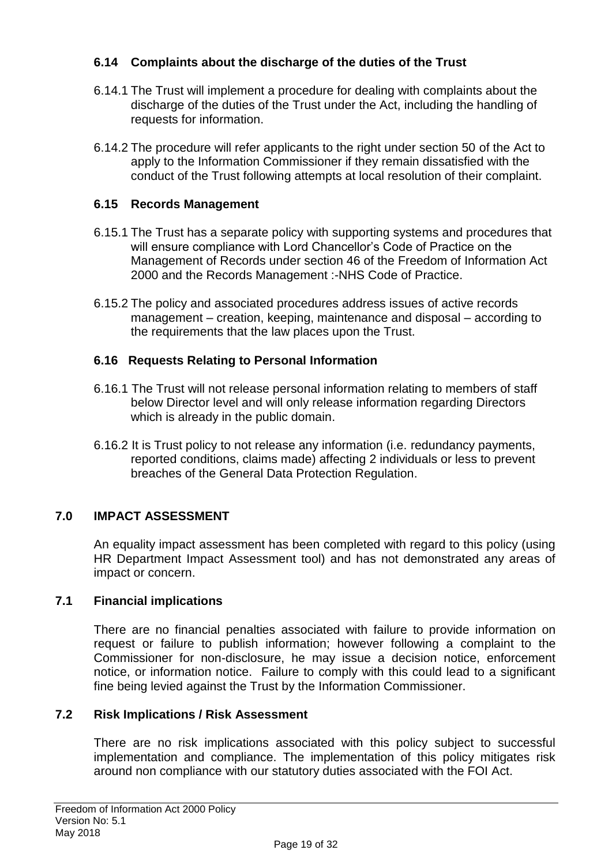## **6.14 Complaints about the discharge of the duties of the Trust**

- 6.14.1 The Trust will implement a procedure for dealing with complaints about the discharge of the duties of the Trust under the Act, including the handling of requests for information.
- 6.14.2 The procedure will refer applicants to the right under section 50 of the Act to apply to the Information Commissioner if they remain dissatisfied with the conduct of the Trust following attempts at local resolution of their complaint.

## **6.15 Records Management**

- 6.15.1 The Trust has a separate policy with supporting systems and procedures that will ensure compliance with Lord Chancellor's Code of Practice on the Management of Records under section 46 of the Freedom of Information Act 2000 and the Records Management :-NHS Code of Practice.
- 6.15.2 The policy and associated procedures address issues of active records management – creation, keeping, maintenance and disposal – according to the requirements that the law places upon the Trust.

## **6.16 Requests Relating to Personal Information**

- 6.16.1 The Trust will not release personal information relating to members of staff below Director level and will only release information regarding Directors which is already in the public domain.
- 6.16.2 It is Trust policy to not release any information (i.e. redundancy payments, reported conditions, claims made) affecting 2 individuals or less to prevent breaches of the General Data Protection Regulation.

## **7.0 IMPACT ASSESSMENT**

An equality impact assessment has been completed with regard to this policy (using HR Department Impact Assessment tool) and has not demonstrated any areas of impact or concern.

## **7.1 Financial implications**

There are no financial penalties associated with failure to provide information on request or failure to publish information; however following a complaint to the Commissioner for non-disclosure, he may issue a decision notice, enforcement notice, or information notice. Failure to comply with this could lead to a significant fine being levied against the Trust by the Information Commissioner.

## **7.2 Risk Implications / Risk Assessment**

There are no risk implications associated with this policy subject to successful implementation and compliance. The implementation of this policy mitigates risk around non compliance with our statutory duties associated with the FOI Act.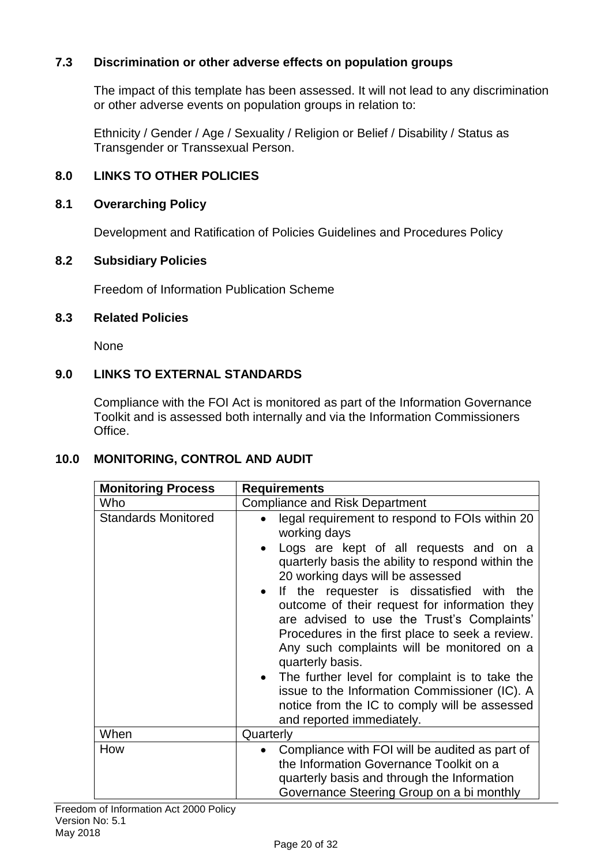## **7.3 Discrimination or other adverse effects on population groups**

The impact of this template has been assessed. It will not lead to any discrimination or other adverse events on population groups in relation to:

Ethnicity / Gender / Age / Sexuality / Religion or Belief / Disability / Status as Transgender or Transsexual Person.

## **8.0 LINKS TO OTHER POLICIES**

### **8.1 Overarching Policy**

Development and Ratification of Policies Guidelines and Procedures Policy

### **8.2 Subsidiary Policies**

Freedom of Information Publication Scheme

### **8.3 Related Policies**

None

## **9.0 LINKS TO EXTERNAL STANDARDS**

Compliance with the FOI Act is monitored as part of the Information Governance Toolkit and is assessed both internally and via the Information Commissioners Office.

## **10.0 MONITORING, CONTROL AND AUDIT**

| <b>Monitoring Process</b>  | <b>Requirements</b>                                                                                                                                                                                                                                                                                                                                                                                                                                                                                                                                                                                                                                                  |
|----------------------------|----------------------------------------------------------------------------------------------------------------------------------------------------------------------------------------------------------------------------------------------------------------------------------------------------------------------------------------------------------------------------------------------------------------------------------------------------------------------------------------------------------------------------------------------------------------------------------------------------------------------------------------------------------------------|
| Who                        | <b>Compliance and Risk Department</b>                                                                                                                                                                                                                                                                                                                                                                                                                                                                                                                                                                                                                                |
| <b>Standards Monitored</b> | legal requirement to respond to FOIs within 20<br>$\bullet$<br>working days<br>Logs are kept of all requests and on a<br>quarterly basis the ability to respond within the<br>20 working days will be assessed<br>• If the requester is dissatisfied with the<br>outcome of their request for information they<br>are advised to use the Trust's Complaints'<br>Procedures in the first place to seek a review.<br>Any such complaints will be monitored on a<br>quarterly basis.<br>• The further level for complaint is to take the<br>issue to the Information Commissioner (IC). A<br>notice from the IC to comply will be assessed<br>and reported immediately. |
| When                       | Quarterly                                                                                                                                                                                                                                                                                                                                                                                                                                                                                                                                                                                                                                                            |
| How                        | Compliance with FOI will be audited as part of<br>$\bullet$<br>the Information Governance Toolkit on a<br>quarterly basis and through the Information<br>Governance Steering Group on a bi monthly                                                                                                                                                                                                                                                                                                                                                                                                                                                                   |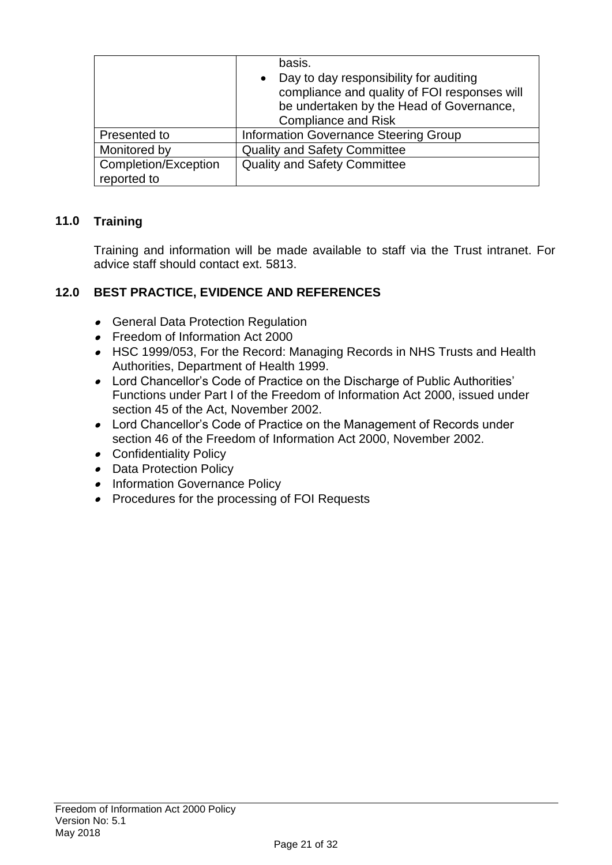|                      | basis.                                                                                 |
|----------------------|----------------------------------------------------------------------------------------|
|                      | Day to day responsibility for auditing<br>compliance and quality of FOI responses will |
|                      | be undertaken by the Head of Governance,                                               |
|                      | <b>Compliance and Risk</b>                                                             |
| Presented to         | Information Governance Steering Group                                                  |
| Monitored by         | <b>Quality and Safety Committee</b>                                                    |
| Completion/Exception | <b>Quality and Safety Committee</b>                                                    |
| reported to          |                                                                                        |

## **11.0 Training**

Training and information will be made available to staff via the Trust intranet. For advice staff should contact ext. 5813.

## **12.0 BEST PRACTICE, EVIDENCE AND REFERENCES**

- **General Data Protection Regulation**
- Freedom of Information Act 2000
- HSC 1999/053, For the Record: Managing Records in NHS Trusts and Health Authorities, Department of Health 1999.
- Lord Chancellor's Code of Practice on the Discharge of Public Authorities' Functions under Part I of the Freedom of Information Act 2000, issued under section 45 of the Act, November 2002.
- Lord Chancellor's Code of Practice on the Management of Records under section 46 of the Freedom of Information Act 2000, November 2002.
- Confidentiality Policy
- Data Protection Policy
- **•** Information Governance Policy
- **•** Procedures for the processing of FOI Requests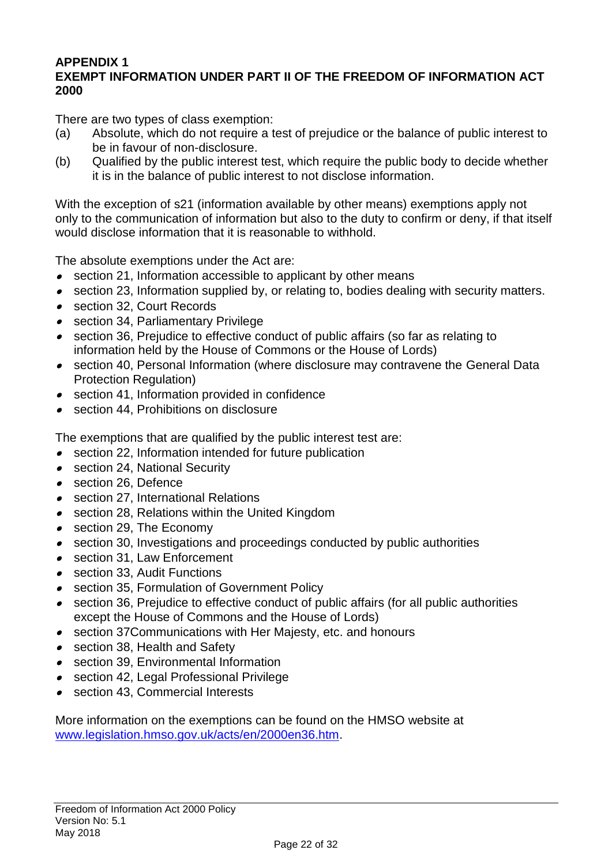#### **APPENDIX 1 EXEMPT INFORMATION UNDER PART II OF THE FREEDOM OF INFORMATION ACT 2000**

There are two types of class exemption:

- (a) Absolute, which do not require a test of prejudice or the balance of public interest to be in favour of non-disclosure.
- (b) Qualified by the public interest test, which require the public body to decide whether it is in the balance of public interest to not disclose information.

With the exception of s21 (information available by other means) exemptions apply not only to the communication of information but also to the duty to confirm or deny, if that itself would disclose information that it is reasonable to withhold.

The absolute exemptions under the Act are:

- section 21, Information accessible to applicant by other means
- section 23, Information supplied by, or relating to, bodies dealing with security matters.
- section 32, Court Records
- section 34, Parliamentary Privilege
- section 36, Prejudice to effective conduct of public affairs (so far as relating to information held by the House of Commons or the House of Lords)
- section 40, Personal Information (where disclosure may contravene the General Data Protection Regulation)
- section 41, Information provided in confidence
- section 44, Prohibitions on disclosure

The exemptions that are qualified by the public interest test are:

- section 22, Information intended for future publication
- section 24, National Security
- section 26, Defence
- section 27, International Relations
- section 28, Relations within the United Kingdom
- section 29, The Economy
- section 30, Investigations and proceedings conducted by public authorities
- section 31, Law Enforcement
- section 33, Audit Functions
- section 35, Formulation of Government Policy
- section 36, Prejudice to effective conduct of public affairs (for all public authorities except the House of Commons and the House of Lords)
- section 37Communications with Her Majesty, etc. and honours
- section 38, Health and Safety
- section 39, Environmental Information
- section 42, Legal Professional Privilege
- section 43, Commercial Interests

More information on the exemptions can be found on the HMSO website at [www.legislation.hmso.gov.uk/acts/en/2000en36.htm.](http://www.legislation.hmso.gov.uk/acts/en/2000en36.htm)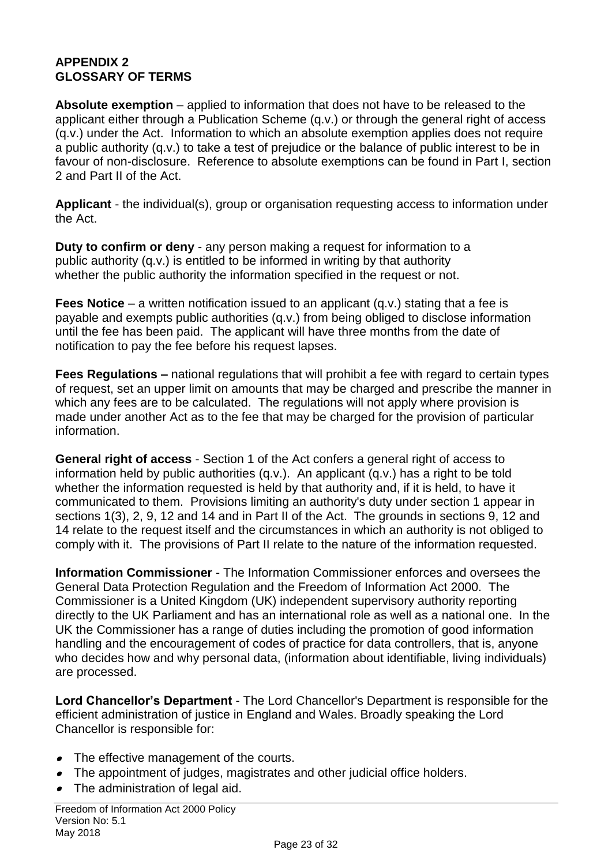## **APPENDIX 2 GLOSSARY OF TERMS**

**Absolute exemption** – applied to information that does not have to be released to the applicant either through a Publication Scheme (q.v.) or through the general right of access (q.v.) under the Act. Information to which an absolute exemption applies does not require a public authority (q.v.) to take a test of prejudice or the balance of public interest to be in favour of non-disclosure. Reference to absolute exemptions can be found in Part I, section 2 and Part II of the Act.

**Applicant** - the individual(s), group or organisation requesting access to information under the Act.

**Duty to confirm or deny** - any person making a request for information to a public authority (q.v.) is entitled to be informed in writing by that authority whether the public authority the information specified in the request or not.

**Fees Notice** – a written notification issued to an applicant (q.v.) stating that a fee is payable and exempts public authorities (q.v.) from being obliged to disclose information until the fee has been paid. The applicant will have three months from the date of notification to pay the fee before his request lapses.

**Fees Regulations –** national regulations that will prohibit a fee with regard to certain types of request, set an upper limit on amounts that may be charged and prescribe the manner in which any fees are to be calculated. The regulations will not apply where provision is made under another Act as to the fee that may be charged for the provision of particular information.

**General right of access** - Section 1 of the Act confers a general right of access to information held by public authorities (q.v.). An applicant (q.v.) has a right to be told whether the information requested is held by that authority and, if it is held, to have it communicated to them. Provisions limiting an authority's duty under section 1 appear in sections 1(3), 2, 9, 12 and 14 and in Part II of the Act. The grounds in sections 9, 12 and 14 relate to the request itself and the circumstances in which an authority is not obliged to comply with it. The provisions of Part II relate to the nature of the information requested.

**Information Commissioner** - The Information Commissioner enforces and oversees the General Data Protection Regulation and the Freedom of Information Act 2000. The Commissioner is a United Kingdom (UK) independent supervisory authority reporting directly to the UK Parliament and has an international role as well as a national one. In the UK the Commissioner has a range of duties including the promotion of good information handling and the encouragement of codes of practice for data controllers, that is, anyone who decides how and why personal data, (information about identifiable, living individuals) are processed.

**Lord Chancellor's Department** - The Lord Chancellor's Department is responsible for the efficient administration of justice in England and Wales. Broadly speaking the Lord Chancellor is responsible for:

- The effective management of the courts.
- The appointment of judges, magistrates and other judicial office holders.
- The administration of legal aid.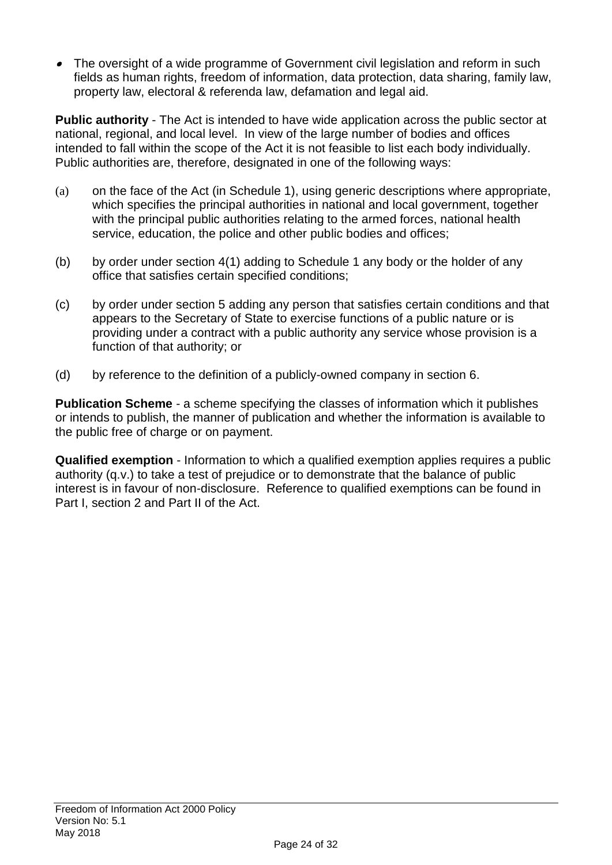The oversight of a wide programme of Government civil legislation and reform in such fields as human rights, freedom of information, data protection, data sharing, family law, property law, electoral & referenda law, defamation and legal aid.

**Public authority** - The Act is intended to have wide application across the public sector at national, regional, and local level. In view of the large number of bodies and offices intended to fall within the scope of the Act it is not feasible to list each body individually. Public authorities are, therefore, designated in one of the following ways:

- (a) on the face of the Act (in Schedule 1), using generic descriptions where appropriate, which specifies the principal authorities in national and local government, together with the principal public authorities relating to the armed forces, national health service, education, the police and other public bodies and offices;
- (b) by order under section 4(1) adding to Schedule 1 any body or the holder of any office that satisfies certain specified conditions;
- (c) by order under section 5 adding any person that satisfies certain conditions and that appears to the Secretary of State to exercise functions of a public nature or is providing under a contract with a public authority any service whose provision is a function of that authority; or
- (d) by reference to the definition of a publicly-owned company in section 6.

**Publication Scheme** - a scheme specifying the classes of information which it publishes or intends to publish, the manner of publication and whether the information is available to the public free of charge or on payment.

**Qualified exemption** - Information to which a qualified exemption applies requires a public authority (q.v.) to take a test of prejudice or to demonstrate that the balance of public interest is in favour of non-disclosure. Reference to qualified exemptions can be found in Part I, section 2 and Part II of the Act.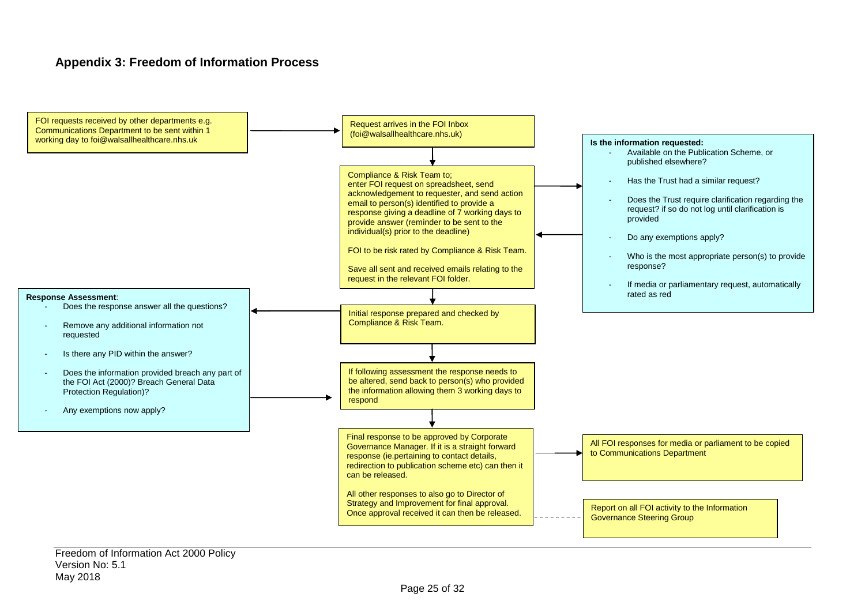#### **Appendix 3: Freedom of Information Process**

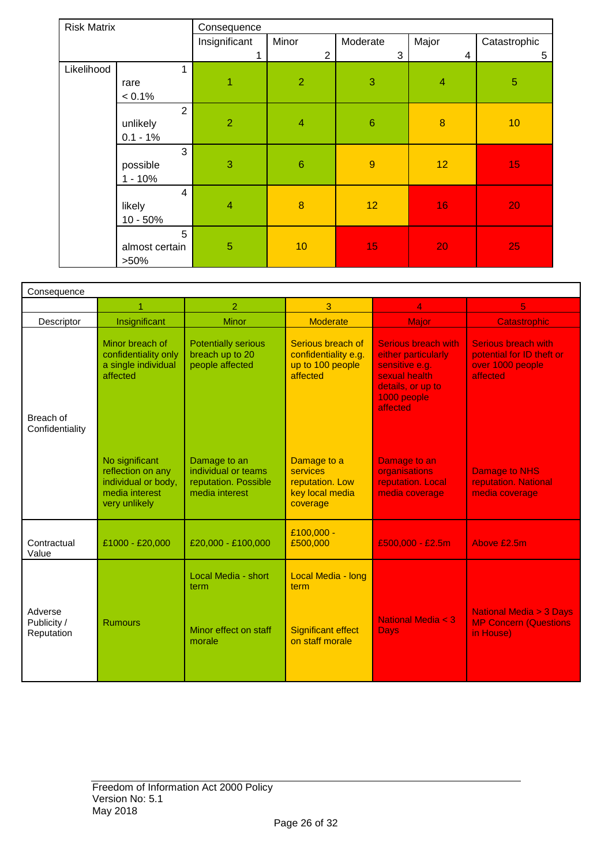| <b>Risk Matrix</b> |                | Consequence    |                 |                 |                  |                |
|--------------------|----------------|----------------|-----------------|-----------------|------------------|----------------|
|                    |                | Insignificant  | Minor           | Moderate        | Major            | Catastrophic   |
|                    |                | 1              | $\overline{2}$  | 3               | 4                | 5              |
| Likelihood         | 1              |                |                 |                 |                  |                |
|                    | rare           | 1              | $\overline{2}$  | 3               | $\overline{4}$   | $\overline{5}$ |
|                    | $< 0.1\%$      |                |                 |                 |                  |                |
|                    | $\overline{2}$ |                |                 |                 |                  |                |
|                    | unlikely       | $\overline{2}$ | $\overline{4}$  | $6\phantom{1}$  | $\boldsymbol{8}$ | 10             |
|                    | $0.1 - 1%$     |                |                 |                 |                  |                |
|                    | 3              |                |                 |                 |                  |                |
|                    | possible       | 3              | $6\phantom{1}6$ | $\overline{9}$  | 12               | 15             |
|                    | $1 - 10%$      |                |                 |                 |                  |                |
|                    | $\overline{4}$ |                |                 |                 |                  |                |
|                    | likely         | $\overline{4}$ | $\bf{8}$        | 12 <sub>2</sub> | 16               | 20             |
|                    | $10 - 50%$     |                |                 |                 |                  |                |
|                    | 5              |                |                 |                 |                  |                |
|                    | almost certain | 5              | 10              | 15              | 20               | 25             |
|                    | $>50\%$        |                |                 |                 |                  |                |

| Consequence                          |                                                                                               |                                                                               |                                                                            |                                                                                                                                      |                                                                                         |  |
|--------------------------------------|-----------------------------------------------------------------------------------------------|-------------------------------------------------------------------------------|----------------------------------------------------------------------------|--------------------------------------------------------------------------------------------------------------------------------------|-----------------------------------------------------------------------------------------|--|
|                                      |                                                                                               | $\overline{2}$                                                                | 3                                                                          | 4                                                                                                                                    | 5.                                                                                      |  |
| Descriptor                           | Insignificant                                                                                 | Minor                                                                         | <b>Moderate</b>                                                            | Major                                                                                                                                | <b>Catastrophic</b>                                                                     |  |
| Breach of<br>Confidentiality         | Minor breach of<br>confidentiality only<br>a single individual<br>affected                    | <b>Potentially serious</b><br>breach up to 20<br>people affected              | Serious breach of<br>confidentiality e.g.<br>up to 100 people<br>affected  | <b>Serious breach with</b><br>either particularly<br>sensitive e.g.<br>sexual health<br>details, or up to<br>1000 people<br>affected | <b>Serious breach with</b><br>potential for ID theft or<br>over 1000 people<br>affected |  |
|                                      | No significant<br>reflection on any<br>individual or body,<br>media interest<br>very unlikely | Damage to an<br>individual or teams<br>reputation. Possible<br>media interest | Damage to a<br>services<br>reputation. Low<br>key local media<br>coverage  | Damage to an<br>organisations<br>reputation. Local<br>media coverage                                                                 | Damage to NHS<br>reputation. National<br>media coverage                                 |  |
| Contractual<br>Value                 | £1000 - £20,000                                                                               | £20,000 - £100,000                                                            | £100,000 -<br>£500,000                                                     | $£500,000 - £2.5m$                                                                                                                   | Above £2.5m                                                                             |  |
| Adverse<br>Publicity /<br>Reputation | <b>Rumours</b>                                                                                | Local Media - short<br>term<br>Minor effect on staff<br>morale                | Local Media - long<br>term<br><b>Significant effect</b><br>on staff morale | National Media < 3<br>Days                                                                                                           | <b>National Media &gt; 3 Days</b><br><b>MP Concern (Questions)</b><br>in House)         |  |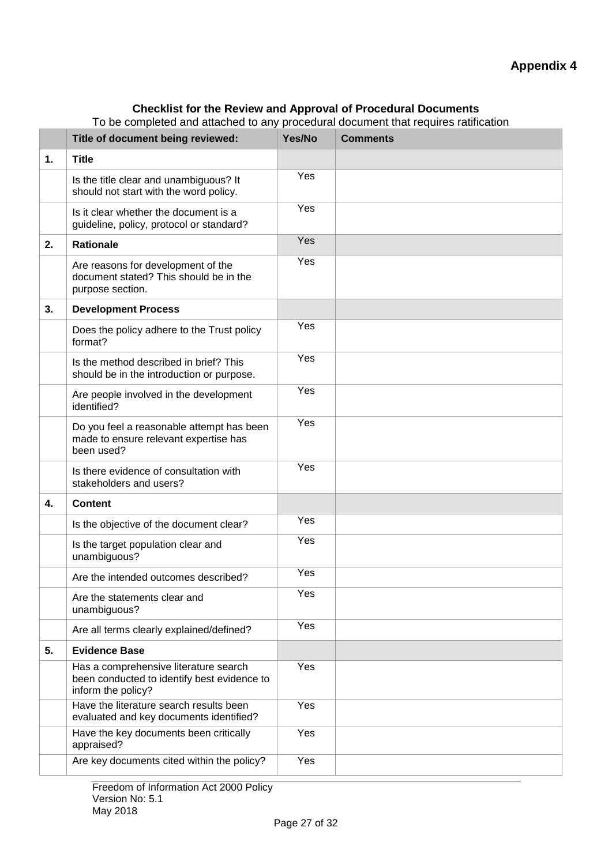#### **Checklist for the Review and Approval of Procedural Documents**

To be completed and attached to any procedural document that requires ratification

|    | Title of document being reviewed:                                                                          | Yes/No | <b>Comments</b> |
|----|------------------------------------------------------------------------------------------------------------|--------|-----------------|
| 1. | <b>Title</b>                                                                                               |        |                 |
|    | Is the title clear and unambiguous? It<br>should not start with the word policy.                           | Yes    |                 |
|    | Is it clear whether the document is a<br>guideline, policy, protocol or standard?                          | Yes    |                 |
| 2. | <b>Rationale</b>                                                                                           | Yes    |                 |
|    | Are reasons for development of the<br>document stated? This should be in the<br>purpose section.           | Yes    |                 |
| 3. | <b>Development Process</b>                                                                                 |        |                 |
|    | Does the policy adhere to the Trust policy<br>format?                                                      | Yes    |                 |
|    | Is the method described in brief? This<br>should be in the introduction or purpose.                        | Yes    |                 |
|    | Are people involved in the development<br>identified?                                                      | Yes    |                 |
|    | Do you feel a reasonable attempt has been<br>made to ensure relevant expertise has<br>been used?           | Yes    |                 |
|    | Is there evidence of consultation with<br>stakeholders and users?                                          | Yes    |                 |
| 4. | <b>Content</b>                                                                                             |        |                 |
|    | Is the objective of the document clear?                                                                    | Yes    |                 |
|    | Is the target population clear and<br>unambiguous?                                                         | Yes    |                 |
|    | Are the intended outcomes described?                                                                       | Yes    |                 |
|    | Are the statements clear and<br>unambiguous?                                                               | Yes    |                 |
|    | Are all terms clearly explained/defined?                                                                   | Yes    |                 |
| 5. | <b>Evidence Base</b>                                                                                       |        |                 |
|    | Has a comprehensive literature search<br>been conducted to identify best evidence to<br>inform the policy? | Yes    |                 |
|    | Have the literature search results been<br>evaluated and key documents identified?                         | Yes    |                 |
|    | Have the key documents been critically<br>appraised?                                                       | Yes    |                 |
|    | Are key documents cited within the policy?                                                                 | Yes    |                 |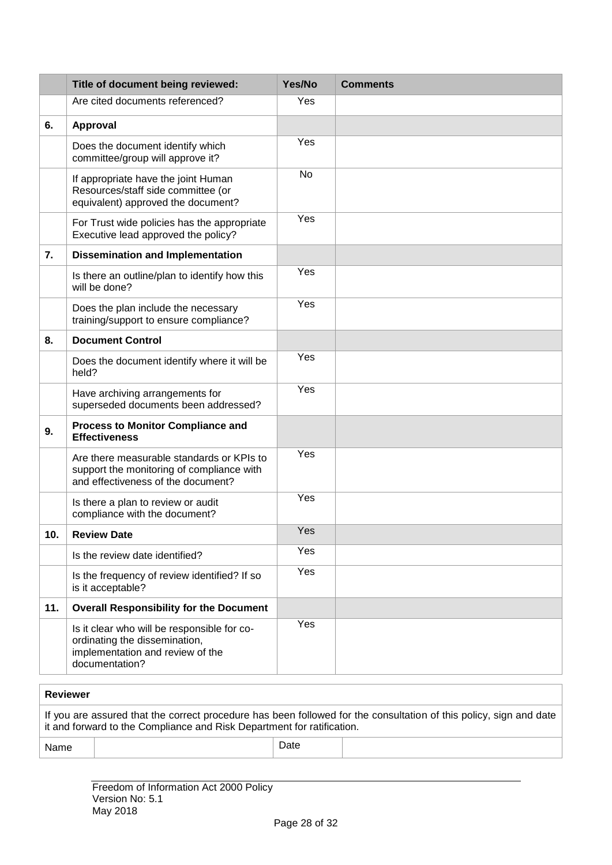|     | Title of document being reviewed:                                                                                                  | Yes/No | <b>Comments</b> |
|-----|------------------------------------------------------------------------------------------------------------------------------------|--------|-----------------|
|     | Are cited documents referenced?                                                                                                    | Yes    |                 |
| 6.  | Approval                                                                                                                           |        |                 |
|     | Does the document identify which<br>committee/group will approve it?                                                               | Yes    |                 |
|     | If appropriate have the joint Human<br>Resources/staff side committee (or<br>equivalent) approved the document?                    | No     |                 |
|     | For Trust wide policies has the appropriate<br>Executive lead approved the policy?                                                 | Yes    |                 |
| 7.  | <b>Dissemination and Implementation</b>                                                                                            |        |                 |
|     | Is there an outline/plan to identify how this<br>will be done?                                                                     | Yes    |                 |
|     | Does the plan include the necessary<br>training/support to ensure compliance?                                                      | Yes    |                 |
| 8.  | <b>Document Control</b>                                                                                                            |        |                 |
|     | Does the document identify where it will be<br>held?                                                                               | Yes    |                 |
|     | Have archiving arrangements for<br>superseded documents been addressed?                                                            | Yes    |                 |
| 9.  | <b>Process to Monitor Compliance and</b><br><b>Effectiveness</b>                                                                   |        |                 |
|     | Are there measurable standards or KPIs to<br>support the monitoring of compliance with<br>and effectiveness of the document?       | Yes    |                 |
|     | Is there a plan to review or audit<br>compliance with the document?                                                                | Yes    |                 |
| 10. | <b>Review Date</b>                                                                                                                 | Yes    |                 |
|     | Is the review date identified?                                                                                                     | Yes    |                 |
|     | Is the frequency of review identified? If so<br>is it acceptable?                                                                  | Yes    |                 |
| 11. | <b>Overall Responsibility for the Document</b>                                                                                     |        |                 |
|     | Is it clear who will be responsible for co-<br>ordinating the dissemination,<br>implementation and review of the<br>documentation? | Yes    |                 |

| <b>Reviewer</b> |                                                                                                                                                                                              |      |  |  |  |
|-----------------|----------------------------------------------------------------------------------------------------------------------------------------------------------------------------------------------|------|--|--|--|
|                 | If you are assured that the correct procedure has been followed for the consultation of this policy, sign and date<br>it and forward to the Compliance and Risk Department for ratification. |      |  |  |  |
| Name            |                                                                                                                                                                                              | Date |  |  |  |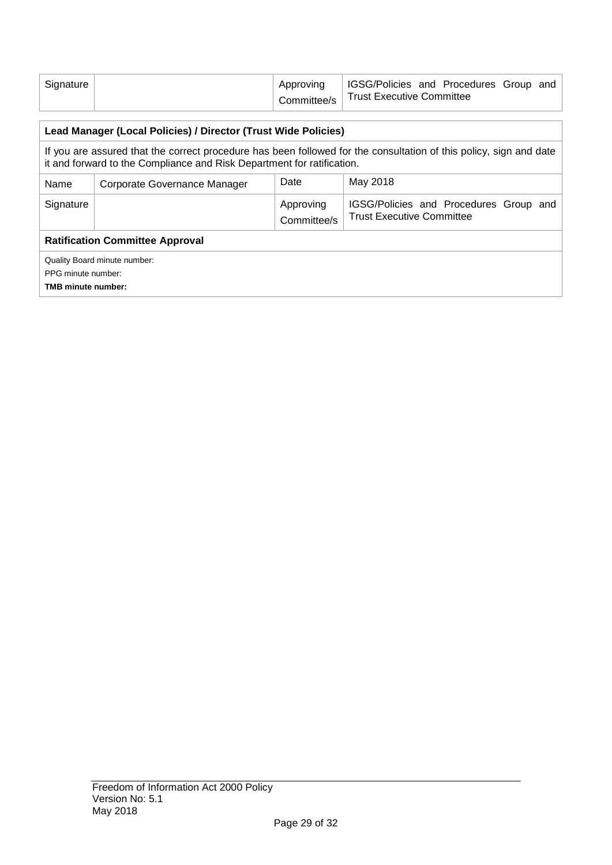| Signature $\vert$ | Approving | IGSG/Policies and Procedures Group and  |  |  |
|-------------------|-----------|-----------------------------------------|--|--|
|                   |           | Committee/s   Trust Executive Committee |  |  |

| Lead Manager (Local Policies) / Director (Trust Wide Policies)                                                                                                                               |  |             |                                        |  |  |  |
|----------------------------------------------------------------------------------------------------------------------------------------------------------------------------------------------|--|-------------|----------------------------------------|--|--|--|
| If you are assured that the correct procedure has been followed for the consultation of this policy, sign and date<br>it and forward to the Compliance and Risk Department for ratification. |  |             |                                        |  |  |  |
| May 2018<br>Date<br>Name<br>Corporate Governance Manager                                                                                                                                     |  |             |                                        |  |  |  |
| Signature                                                                                                                                                                                    |  | Approving   | IGSG/Policies and Procedures Group and |  |  |  |
|                                                                                                                                                                                              |  | Committee/s | <b>Trust Executive Committee</b>       |  |  |  |
| <b>Ratification Committee Approval</b>                                                                                                                                                       |  |             |                                        |  |  |  |
| Quality Board minute number:                                                                                                                                                                 |  |             |                                        |  |  |  |
| PPG minute number:                                                                                                                                                                           |  |             |                                        |  |  |  |
| <b>TMB minute number:</b>                                                                                                                                                                    |  |             |                                        |  |  |  |
|                                                                                                                                                                                              |  |             |                                        |  |  |  |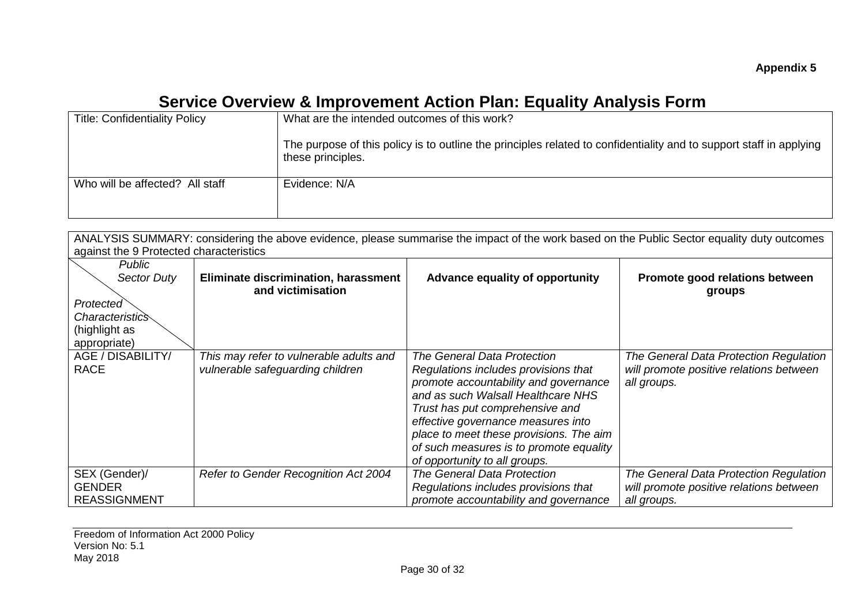# **Service Overview & Improvement Action Plan: Equality Analysis Form**

| <b>Title: Confidentiality Policy</b> | What are the intended outcomes of this work?                                                                                             |
|--------------------------------------|------------------------------------------------------------------------------------------------------------------------------------------|
|                                      | The purpose of this policy is to outline the principles related to confidentiality and to support staff in applying<br>these principles. |
| Who will be affected? All staff      | Evidence: N/A                                                                                                                            |
|                                      |                                                                                                                                          |

| ANALYSIS SUMMARY: considering the above evidence, please summarise the impact of the work based on the Public Sector equality duty outcomes |                                         |                                         |                                         |  |  |  |  |
|---------------------------------------------------------------------------------------------------------------------------------------------|-----------------------------------------|-----------------------------------------|-----------------------------------------|--|--|--|--|
| against the 9 Protected characteristics                                                                                                     |                                         |                                         |                                         |  |  |  |  |
| Public                                                                                                                                      |                                         |                                         |                                         |  |  |  |  |
| <b>Sector Duty</b>                                                                                                                          | Eliminate discrimination, harassment    | Advance equality of opportunity         | Promote good relations between          |  |  |  |  |
|                                                                                                                                             | and victimisation                       |                                         | groups                                  |  |  |  |  |
| Protected                                                                                                                                   |                                         |                                         |                                         |  |  |  |  |
| <i>Characteristics</i>                                                                                                                      |                                         |                                         |                                         |  |  |  |  |
| (highlight as                                                                                                                               |                                         |                                         |                                         |  |  |  |  |
| appropriate)                                                                                                                                |                                         |                                         |                                         |  |  |  |  |
| AGE / DISABILITY/                                                                                                                           | This may refer to vulnerable adults and | <b>The General Data Protection</b>      | The General Data Protection Regulation  |  |  |  |  |
| <b>RACE</b>                                                                                                                                 | vulnerable safeguarding children        | Regulations includes provisions that    | will promote positive relations between |  |  |  |  |
|                                                                                                                                             |                                         | promote accountability and governance   | all groups.                             |  |  |  |  |
|                                                                                                                                             |                                         | and as such Walsall Healthcare NHS      |                                         |  |  |  |  |
|                                                                                                                                             |                                         | Trust has put comprehensive and         |                                         |  |  |  |  |
|                                                                                                                                             |                                         | effective governance measures into      |                                         |  |  |  |  |
|                                                                                                                                             |                                         | place to meet these provisions. The aim |                                         |  |  |  |  |
|                                                                                                                                             |                                         | of such measures is to promote equality |                                         |  |  |  |  |
|                                                                                                                                             |                                         | of opportunity to all groups.           |                                         |  |  |  |  |
| SEX (Gender)/                                                                                                                               | Refer to Gender Recognition Act 2004    | The General Data Protection             | The General Data Protection Regulation  |  |  |  |  |
| <b>GENDER</b>                                                                                                                               |                                         | Regulations includes provisions that    | will promote positive relations between |  |  |  |  |
| <b>REASSIGNMENT</b>                                                                                                                         |                                         | promote accountability and governance   | all groups.                             |  |  |  |  |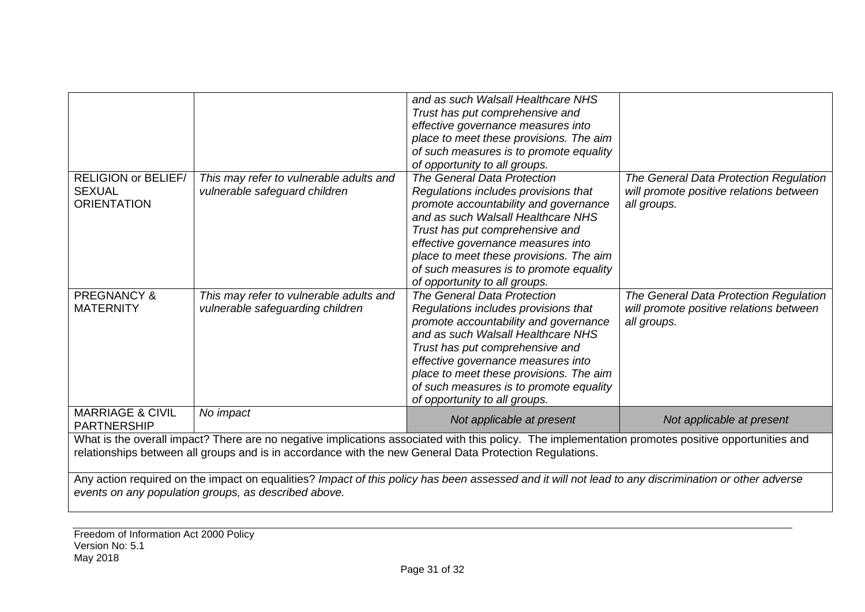|                                                                                                                                                      |                                         | and as such Walsall Healthcare NHS                                                                                                                 |                                         |  |  |  |
|------------------------------------------------------------------------------------------------------------------------------------------------------|-----------------------------------------|----------------------------------------------------------------------------------------------------------------------------------------------------|-----------------------------------------|--|--|--|
|                                                                                                                                                      |                                         | Trust has put comprehensive and                                                                                                                    |                                         |  |  |  |
|                                                                                                                                                      |                                         | effective governance measures into                                                                                                                 |                                         |  |  |  |
|                                                                                                                                                      |                                         | place to meet these provisions. The aim                                                                                                            |                                         |  |  |  |
|                                                                                                                                                      |                                         | of such measures is to promote equality                                                                                                            |                                         |  |  |  |
|                                                                                                                                                      |                                         | of opportunity to all groups.                                                                                                                      |                                         |  |  |  |
| <b>RELIGION or BELIEF/</b>                                                                                                                           | This may refer to vulnerable adults and | The General Data Protection                                                                                                                        | The General Data Protection Regulation  |  |  |  |
| <b>SEXUAL</b>                                                                                                                                        | vulnerable safeguard children           | Regulations includes provisions that                                                                                                               | will promote positive relations between |  |  |  |
| <b>ORIENTATION</b>                                                                                                                                   |                                         | promote accountability and governance                                                                                                              | all groups.                             |  |  |  |
|                                                                                                                                                      |                                         | and as such Walsall Healthcare NHS                                                                                                                 |                                         |  |  |  |
|                                                                                                                                                      |                                         | Trust has put comprehensive and                                                                                                                    |                                         |  |  |  |
|                                                                                                                                                      |                                         | effective governance measures into                                                                                                                 |                                         |  |  |  |
|                                                                                                                                                      |                                         | place to meet these provisions. The aim                                                                                                            |                                         |  |  |  |
|                                                                                                                                                      |                                         | of such measures is to promote equality                                                                                                            |                                         |  |  |  |
|                                                                                                                                                      |                                         | of opportunity to all groups.                                                                                                                      |                                         |  |  |  |
| <b>PREGNANCY &amp;</b>                                                                                                                               | This may refer to vulnerable adults and | The General Data Protection                                                                                                                        | The General Data Protection Regulation  |  |  |  |
| <b>MATERNITY</b>                                                                                                                                     | vulnerable safeguarding children        | Regulations includes provisions that                                                                                                               | will promote positive relations between |  |  |  |
|                                                                                                                                                      |                                         | promote accountability and governance                                                                                                              | all groups.                             |  |  |  |
|                                                                                                                                                      |                                         | and as such Walsall Healthcare NHS                                                                                                                 |                                         |  |  |  |
|                                                                                                                                                      |                                         | Trust has put comprehensive and                                                                                                                    |                                         |  |  |  |
|                                                                                                                                                      |                                         | effective governance measures into                                                                                                                 |                                         |  |  |  |
|                                                                                                                                                      |                                         | place to meet these provisions. The aim                                                                                                            |                                         |  |  |  |
|                                                                                                                                                      |                                         | of such measures is to promote equality                                                                                                            |                                         |  |  |  |
|                                                                                                                                                      |                                         | of opportunity to all groups.                                                                                                                      |                                         |  |  |  |
| <b>MARRIAGE &amp; CIVIL</b>                                                                                                                          | No impact                               | Not applicable at present                                                                                                                          | Not applicable at present               |  |  |  |
| <b>PARTNERSHIP</b>                                                                                                                                   |                                         |                                                                                                                                                    |                                         |  |  |  |
|                                                                                                                                                      |                                         | What is the overall impact? There are no negative implications associated with this policy. The implementation promotes positive opportunities and |                                         |  |  |  |
| relationships between all groups and is in accordance with the new General Data Protection Regulations.                                              |                                         |                                                                                                                                                    |                                         |  |  |  |
|                                                                                                                                                      |                                         |                                                                                                                                                    |                                         |  |  |  |
| Any action required on the impact on equalities? Impact of this policy has been assessed and it will not lead to any discrimination or other adverse |                                         |                                                                                                                                                    |                                         |  |  |  |
| events on any population groups, as described above.                                                                                                 |                                         |                                                                                                                                                    |                                         |  |  |  |
|                                                                                                                                                      |                                         |                                                                                                                                                    |                                         |  |  |  |